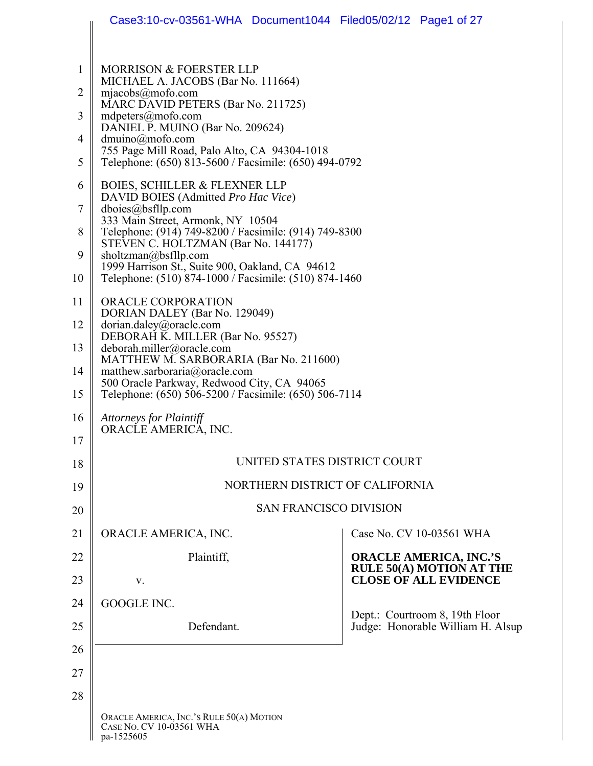|                | Case3:10-cv-03561-WHA Document1044 Filed05/02/12 Page1 of 27                                                                               |                                                                     |
|----------------|--------------------------------------------------------------------------------------------------------------------------------------------|---------------------------------------------------------------------|
|                |                                                                                                                                            |                                                                     |
| $\mathbf{1}$   | MORRISON & FOERSTER LLP<br>MICHAEL A. JACOBS (Bar No. 111664)                                                                              |                                                                     |
| $\overline{2}$ | mjaecobs@mofo.com<br>MARC DAVID PETERS (Bar No. 211725)                                                                                    |                                                                     |
| 3              | $m$ dpeters@mofo.com<br>DANIEL P. MUINO (Bar No. 209624)                                                                                   |                                                                     |
| 4              | $dmuino(\partial mofo.com)$<br>755 Page Mill Road, Palo Alto, CA 94304-1018                                                                |                                                                     |
| 5              | Telephone: (650) 813-5600 / Facsimile: (650) 494-0792                                                                                      |                                                                     |
| 6              | <b>BOIES, SCHILLER &amp; FLEXNER LLP</b><br>DAVID BOIES (Admitted Pro Hac Vice)                                                            |                                                                     |
| $\tau$         | dboies@bsfllp.com<br>333 Main Street, Armonk, NY 10504                                                                                     |                                                                     |
| 8              | Telephone: (914) 749-8200 / Facsimile: (914) 749-8300<br>STEVEN C. HOLTZMAN (Bar No. 144177)                                               |                                                                     |
| 9              | sholtzman@bsfllp.com<br>1999 Harrison St., Suite 900, Oakland, CA 94612                                                                    |                                                                     |
| 10             | Telephone: (510) 874-1000 / Facsimile: (510) 874-1460                                                                                      |                                                                     |
| 11             | ORACLE CORPORATION<br>DORIAN DALEY (Bar No. 129049)                                                                                        |                                                                     |
| 12             | dorian.daley@oracle.com<br>DEBORAH K. MILLER (Bar No. 95527)                                                                               |                                                                     |
| 13             | deborah.miller@oracle.com<br>MATTHEW M. SARBORARIA (Bar No. 211600)                                                                        |                                                                     |
| 15             | matthew.sarboraria@oracle.com<br>14<br>500 Oracle Parkway, Redwood City, CA 94065<br>Telephone: (650) 506-5200 / Facsimile: (650) 506-7114 |                                                                     |
| 16             | <b>Attorneys for Plaintiff</b>                                                                                                             |                                                                     |
| 17             | ORACLE AMERICA, INC.                                                                                                                       |                                                                     |
| 18             | UNITED STATES DISTRICT COURT                                                                                                               |                                                                     |
| 19             | NORTHERN DISTRICT OF CALIFORNIA                                                                                                            |                                                                     |
| 20             | <b>SAN FRANCISCO DIVISION</b>                                                                                                              |                                                                     |
| 21             | ORACLE AMERICA, INC.                                                                                                                       | Case No. CV 10-03561 WHA                                            |
| 22             | Plaintiff,                                                                                                                                 | <b>ORACLE AMERICA, INC.'S</b><br><b>RULE 50(A) MOTION AT THE</b>    |
| 23             | V.                                                                                                                                         | <b>CLOSE OF ALL EVIDENCE</b>                                        |
| 24             | GOOGLE INC.                                                                                                                                |                                                                     |
| 25             | Defendant.                                                                                                                                 | Dept.: Courtroom 8, 19th Floor<br>Judge: Honorable William H. Alsup |
| 26             |                                                                                                                                            |                                                                     |
| 27             |                                                                                                                                            |                                                                     |
| 28             |                                                                                                                                            |                                                                     |
|                | ORACLE AMERICA, INC.'S RULE 50(A) MOTION<br>CASE NO. CV 10-03561 WHA<br>pa-1525605                                                         |                                                                     |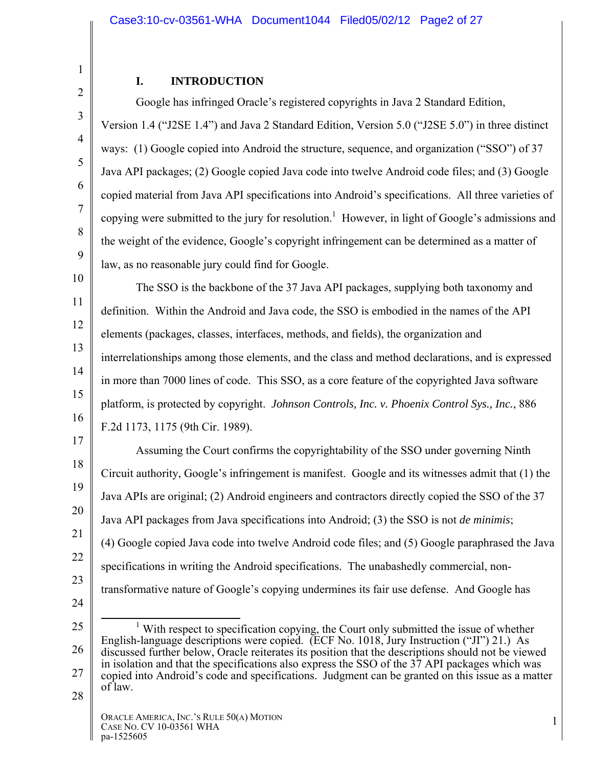## 2 3

4

5

6

7

8

9

1

## **I. INTRODUCTION**

Google has infringed Oracle's registered copyrights in Java 2 Standard Edition, Version 1.4 ("J2SE 1.4") and Java 2 Standard Edition, Version 5.0 ("J2SE 5.0") in three distinct ways: (1) Google copied into Android the structure, sequence, and organization ("SSO") of 37 Java API packages; (2) Google copied Java code into twelve Android code files; and (3) Google copied material from Java API specifications into Android's specifications. All three varieties of copying were submitted to the jury for resolution.<sup>1</sup> However, in light of Google's admissions and the weight of the evidence, Google's copyright infringement can be determined as a matter of law, as no reasonable jury could find for Google.

10 11 12 13 14 15 16 The SSO is the backbone of the 37 Java API packages, supplying both taxonomy and definition. Within the Android and Java code, the SSO is embodied in the names of the API elements (packages, classes, interfaces, methods, and fields), the organization and interrelationships among those elements, and the class and method declarations, and is expressed in more than 7000 lines of code. This SSO, as a core feature of the copyrighted Java software platform, is protected by copyright. *Johnson Controls, Inc. v. Phoenix Control Sys., Inc.*, 886 F.2d 1173, 1175 (9th Cir. 1989).

17 18 19 20 21 22 23 24 Assuming the Court confirms the copyrightability of the SSO under governing Ninth Circuit authority, Google's infringement is manifest. Google and its witnesses admit that (1) the Java APIs are original; (2) Android engineers and contractors directly copied the SSO of the 37 Java API packages from Java specifications into Android; (3) the SSO is not *de minimis*; (4) Google copied Java code into twelve Android code files; and (5) Google paraphrased the Java specifications in writing the Android specifications. The unabashedly commercial, nontransformative nature of Google's copying undermines its fair use defense. And Google has

<sup>25</sup>  26 27  $\frac{1}{1}$  $\frac{1}{1}$  With respect to specification copying, the Court only submitted the issue of whether English-language descriptions were copied. (ECF No. 1018, Jury Instruction ("JI") 21.) As discussed further below, Oracle reiterates its position that the descriptions should not be viewed in isolation and that the specifications also express the SSO of the 37 API packages which was copied into Android's code and specifications. Judgment can be granted on this issue as a matter of law.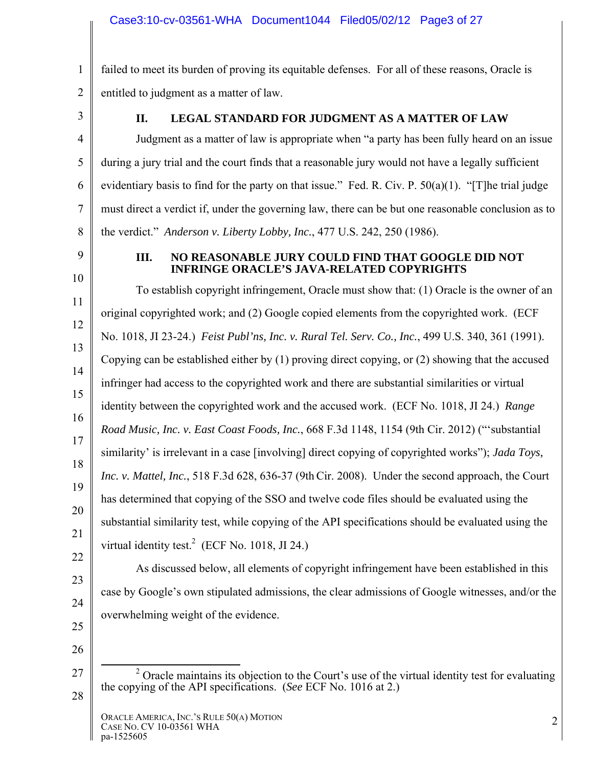1 2 failed to meet its burden of proving its equitable defenses. For all of these reasons, Oracle is entitled to judgment as a matter of law.

3

4

5

6

7

8

## **II. LEGAL STANDARD FOR JUDGMENT AS A MATTER OF LAW**

Judgment as a matter of law is appropriate when "a party has been fully heard on an issue during a jury trial and the court finds that a reasonable jury would not have a legally sufficient evidentiary basis to find for the party on that issue." Fed. R. Civ. P. 50(a)(1). "[T]he trial judge must direct a verdict if, under the governing law, there can be but one reasonable conclusion as to the verdict." *Anderson v. Liberty Lobby, Inc.*, 477 U.S. 242, 250 (1986).

9

10

### **III. NO REASONABLE JURY COULD FIND THAT GOOGLE DID NOT INFRINGE ORACLE'S JAVA-RELATED COPYRIGHTS**

11 12 13 14 15 16 17 18 19 20 21 To establish copyright infringement, Oracle must show that: (1) Oracle is the owner of an original copyrighted work; and (2) Google copied elements from the copyrighted work. (ECF No. 1018, JI 23-24.) *Feist Publ'ns, Inc. v. Rural Tel. Serv. Co., Inc.*, 499 U.S. 340, 361 (1991). Copying can be established either by (1) proving direct copying, or (2) showing that the accused infringer had access to the copyrighted work and there are substantial similarities or virtual identity between the copyrighted work and the accused work. (ECF No. 1018, JI 24.) *Range Road Music, Inc. v. East Coast Foods, Inc.*, 668 F.3d 1148, 1154 (9th Cir. 2012) ("'substantial similarity' is irrelevant in a case [involving] direct copying of copyrighted works"); *Jada Toys, Inc. v. Mattel, Inc.*, 518 F.3d 628, 636-37 (9thCir. 2008). Under the second approach, the Court has determined that copying of the SSO and twelve code files should be evaluated using the substantial similarity test, while copying of the API specifications should be evaluated using the virtual identity test.<sup>2</sup> (ECF No. 1018, JI 24.)

- 22 23
- 24
- 25
- 26

27

28

As discussed below, all elements of copyright infringement have been established in this

case by Google's own stipulated admissions, the clear admissions of Google witnesses, and/or the

overwhelming weight of the evidence.

 <sup>2</sup>  $\alpha$ <sup>2</sup> Oracle maintains its objection to the Court's use of the virtual identity test for evaluating the copying of the API specifications. (*See* ECF No. 1016 at 2.)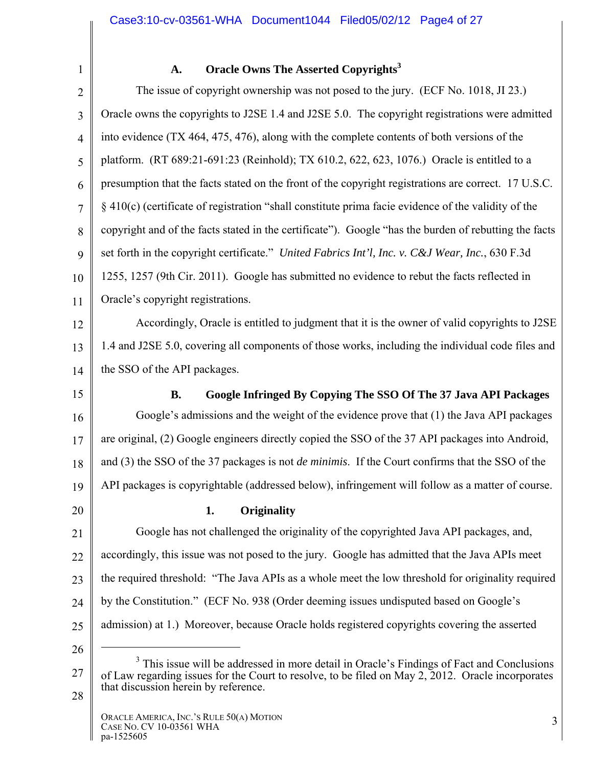1

### A. Oracle Owns The Asserted Copyrights<sup>3</sup>

2 3 4 5 6 7 8 9 10 11 The issue of copyright ownership was not posed to the jury. (ECF No. 1018, JI 23.) Oracle owns the copyrights to J2SE 1.4 and J2SE 5.0. The copyright registrations were admitted into evidence (TX 464, 475, 476), along with the complete contents of both versions of the platform. (RT 689:21-691:23 (Reinhold); TX 610.2, 622, 623, 1076.) Oracle is entitled to a presumption that the facts stated on the front of the copyright registrations are correct. 17 U.S.C. § 410(c) (certificate of registration "shall constitute prima facie evidence of the validity of the copyright and of the facts stated in the certificate"). Google "has the burden of rebutting the facts set forth in the copyright certificate." *United Fabrics Int'l, Inc. v. C&J Wear, Inc.*, 630 F.3d 1255, 1257 (9th Cir. 2011). Google has submitted no evidence to rebut the facts reflected in Oracle's copyright registrations.

12 13 14 Accordingly, Oracle is entitled to judgment that it is the owner of valid copyrights to J2SE 1.4 and J2SE 5.0, covering all components of those works, including the individual code files and the SSO of the API packages.

15

## **B. Google Infringed By Copying The SSO Of The 37 Java API Packages**

16 17 18 19 Google's admissions and the weight of the evidence prove that (1) the Java API packages are original, (2) Google engineers directly copied the SSO of the 37 API packages into Android, and (3) the SSO of the 37 packages is not *de minimis*. If the Court confirms that the SSO of the API packages is copyrightable (addressed below), infringement will follow as a matter of course.

20

### **1. Originality**

21 22 23 24 25 Google has not challenged the originality of the copyrighted Java API packages, and, accordingly, this issue was not posed to the jury. Google has admitted that the Java APIs meet the required threshold: "The Java APIs as a whole meet the low threshold for originality required by the Constitution." (ECF No. 938 (Order deeming issues undisputed based on Google's admission) at 1.) Moreover, because Oracle holds registered copyrights covering the asserted

26

 $\overline{a}$ 

<sup>27</sup>  28 <sup>3</sup> This issue will be addressed in more detail in Oracle's Findings of Fact and Conclusions of Law regarding issues for the Court to resolve, to be filed on May 2, 2012. Oracle incorporates that discussion herein by reference.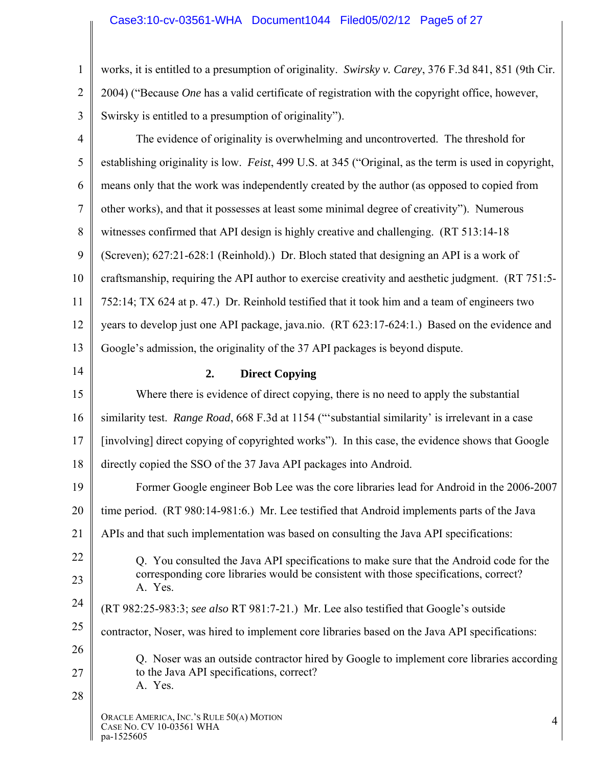### Case3:10-cv-03561-WHA Document1044 Filed05/02/12 Page5 of 27

1 2 3 works, it is entitled to a presumption of originality. *Swirsky v. Carey*, 376 F.3d 841, 851 (9th Cir. 2004) ("Because *One* has a valid certificate of registration with the copyright office, however, Swirsky is entitled to a presumption of originality").

| $\overline{4}$ | The evidence of originality is overwhelming and uncontroverted. The threshold for                     |
|----------------|-------------------------------------------------------------------------------------------------------|
| 5              | establishing originality is low. Feist, 499 U.S. at 345 ("Original, as the term is used in copyright, |
| 6              | means only that the work was independently created by the author (as opposed to copied from           |
| 7              | other works), and that it possesses at least some minimal degree of creativity"). Numerous            |
| 8              | witnesses confirmed that API design is highly creative and challenging. (RT 513:14-18)                |
| 9              | (Screven); 627:21-628:1 (Reinhold).) Dr. Bloch stated that designing an API is a work of              |
| 10             | craftsmanship, requiring the API author to exercise creativity and aesthetic judgment. (RT 751:5-     |
| 11             | 752:14; TX 624 at p. 47.) Dr. Reinhold testified that it took him and a team of engineers two         |
| 12             | years to develop just one API package, java.nio. (RT 623:17-624:1.) Based on the evidence and         |
| 13             | Google's admission, the originality of the 37 API packages is beyond dispute.                         |
| 14             | 2.<br><b>Direct Copying</b>                                                                           |
| 15             | Where there is evidence of direct copying, there is no need to apply the substantial                  |
| 16             | similarity test. Range Road, 668 F.3d at 1154 ("substantial similarity' is irrelevant in a case       |
| 17             | [involving] direct copying of copyrighted works"). In this case, the evidence shows that Google       |
| 18             | directly copied the SSO of the 37 Java API packages into Android.                                     |
| 19             | Former Google engineer Bob Lee was the core libraries lead for Android in the 2006-2007               |
| 20             | time period. (RT 980:14-981:6.) Mr. Lee testified that Android implements parts of the Java           |
| 21             | APIs and that such implementation was based on consulting the Java API specifications:                |
| 22             | Q. You consulted the Java API specifications to make sure that the Android code for the               |
| 23             | corresponding core libraries would be consistent with those specifications, correct?<br>A. Yes.       |
| 24             | (RT 982:25-983:3; see also RT 981:7-21.) Mr. Lee also testified that Google's outside                 |
| 25             | contractor, Noser, was hired to implement core libraries based on the Java API specifications:        |
| 26             | Q. Noser was an outside contractor hired by Google to implement core libraries according              |
| 27             | to the Java API specifications, correct?<br>A. Yes.                                                   |
| 28             |                                                                                                       |
|                | ORACLE AMERICA, INC.'S RULE 50(A) MOTION<br>4<br>CASE NO. CV 10-03561 WHA<br>pa-1525605               |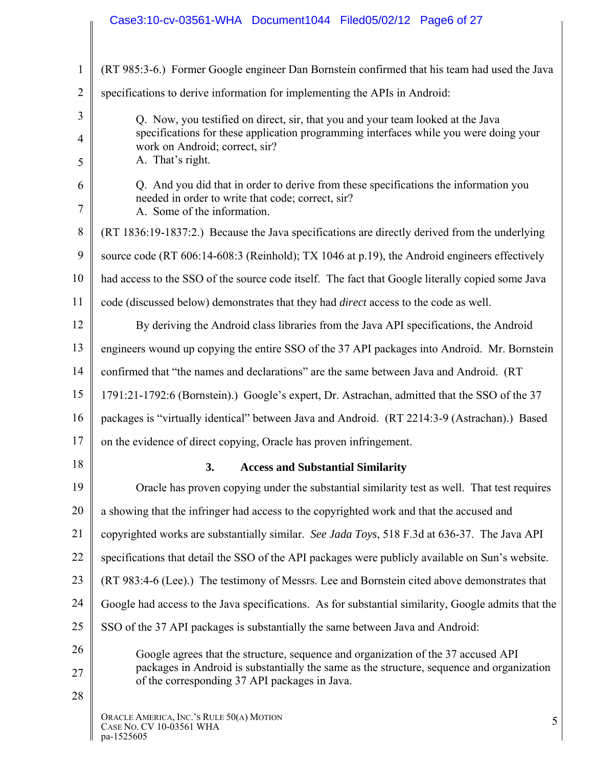|                | Case3:10-cv-03561-WHA Document1044 Filed05/02/12 Page6 of 27                                                                                                                   |
|----------------|--------------------------------------------------------------------------------------------------------------------------------------------------------------------------------|
|                |                                                                                                                                                                                |
| $\mathbf{1}$   | (RT 985:3-6.) Former Google engineer Dan Bornstein confirmed that his team had used the Java                                                                                   |
| $\overline{2}$ | specifications to derive information for implementing the APIs in Android:                                                                                                     |
| 3              | Q. Now, you testified on direct, sir, that you and your team looked at the Java                                                                                                |
| $\overline{4}$ | specifications for these application programming interfaces while you were doing your<br>work on Android; correct, sir?                                                        |
| 5              | A. That's right.                                                                                                                                                               |
| 6<br>7         | Q. And you did that in order to derive from these specifications the information you<br>needed in order to write that code; correct, sir?<br>A. Some of the information.       |
| $8\,$          | (RT 1836:19-1837:2.) Because the Java specifications are directly derived from the underlying                                                                                  |
| 9              | source code (RT 606:14-608:3 (Reinhold); TX 1046 at p.19), the Android engineers effectively                                                                                   |
| 10             | had access to the SSO of the source code itself. The fact that Google literally copied some Java                                                                               |
| 11             | code (discussed below) demonstrates that they had <i>direct</i> access to the code as well.                                                                                    |
| 12             | By deriving the Android class libraries from the Java API specifications, the Android                                                                                          |
| 13             | engineers wound up copying the entire SSO of the 37 API packages into Android. Mr. Bornstein                                                                                   |
| 14             | confirmed that "the names and declarations" are the same between Java and Android. (RT                                                                                         |
| 15             | 1791:21-1792:6 (Bornstein).) Google's expert, Dr. Astrachan, admitted that the SSO of the 37                                                                                   |
| 16             | packages is "virtually identical" between Java and Android. (RT 2214:3-9 (Astrachan).) Based                                                                                   |
| 17             | on the evidence of direct copying, Oracle has proven infringement.                                                                                                             |
| 18             | 3.<br><b>Access and Substantial Similarity</b>                                                                                                                                 |
| 19             | Oracle has proven copying under the substantial similarity test as well. That test requires                                                                                    |
| 20             | a showing that the infringer had access to the copyrighted work and that the accused and                                                                                       |
| 21             | copyrighted works are substantially similar. See Jada Toys, 518 F.3d at 636-37. The Java API                                                                                   |
| 22             | specifications that detail the SSO of the API packages were publicly available on Sun's website.                                                                               |
| 23             | (RT 983:4-6 (Lee).) The testimony of Messrs. Lee and Bornstein cited above demonstrates that                                                                                   |
| 24             | Google had access to the Java specifications. As for substantial similarity, Google admits that the                                                                            |
| 25             | SSO of the 37 API packages is substantially the same between Java and Android:                                                                                                 |
| 26<br>27       | Google agrees that the structure, sequence and organization of the 37 accused API<br>packages in Android is substantially the same as the structure, sequence and organization |
| 28             | of the corresponding 37 API packages in Java.                                                                                                                                  |
|                | ORACLE AMERICA, INC.'S RULE 50(A) MOTION<br>5<br>CASE NO. CV 10-03561 WHA<br>pa-1525605                                                                                        |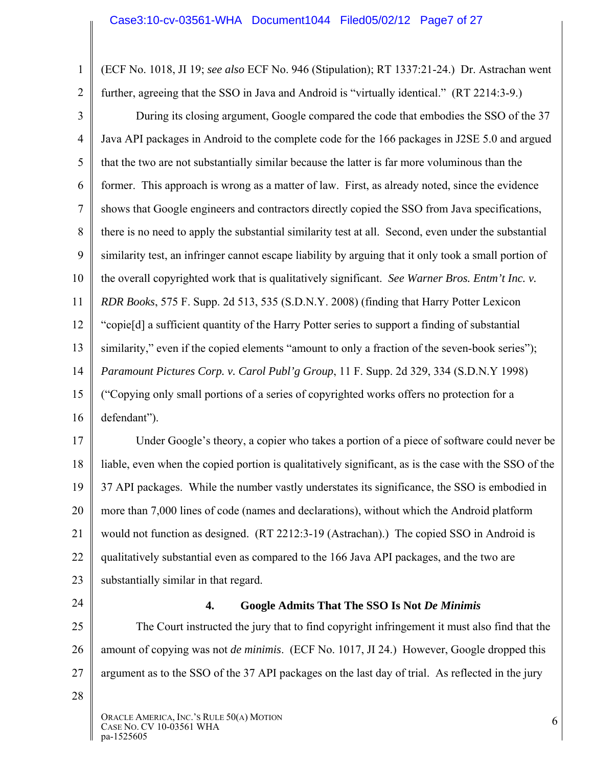2 (ECF No. 1018, JI 19; *see also* ECF No. 946 (Stipulation); RT 1337:21-24.) Dr. Astrachan went further, agreeing that the SSO in Java and Android is "virtually identical." (RT 2214:3-9.)

3 4 5 6 7 8 9 10 11 12 13 14 15 16 During its closing argument, Google compared the code that embodies the SSO of the 37 Java API packages in Android to the complete code for the 166 packages in J2SE 5.0 and argued that the two are not substantially similar because the latter is far more voluminous than the former. This approach is wrong as a matter of law. First, as already noted, since the evidence shows that Google engineers and contractors directly copied the SSO from Java specifications, there is no need to apply the substantial similarity test at all. Second, even under the substantial similarity test, an infringer cannot escape liability by arguing that it only took a small portion of the overall copyrighted work that is qualitatively significant. *See Warner Bros. Entm't Inc. v. RDR Books*, 575 F. Supp. 2d 513, 535 (S.D.N.Y. 2008) (finding that Harry Potter Lexicon "copie[d] a sufficient quantity of the Harry Potter series to support a finding of substantial similarity," even if the copied elements "amount to only a fraction of the seven-book series"); *Paramount Pictures Corp. v. Carol Publ'g Group*, 11 F. Supp. 2d 329, 334 (S.D.N.Y 1998) ("Copying only small portions of a series of copyrighted works offers no protection for a defendant").

17 18 19 20 21 22 23 Under Google's theory, a copier who takes a portion of a piece of software could never be liable, even when the copied portion is qualitatively significant, as is the case with the SSO of the 37 API packages. While the number vastly understates its significance, the SSO is embodied in more than 7,000 lines of code (names and declarations), without which the Android platform would not function as designed. (RT 2212:3-19 (Astrachan).) The copied SSO in Android is qualitatively substantial even as compared to the 166 Java API packages, and the two are substantially similar in that regard.

24

1

### **4. Google Admits That The SSO Is Not** *De Minimis*

25 26 27 The Court instructed the jury that to find copyright infringement it must also find that the amount of copying was not *de minimis*. (ECF No. 1017, JI 24.) However, Google dropped this argument as to the SSO of the 37 API packages on the last day of trial. As reflected in the jury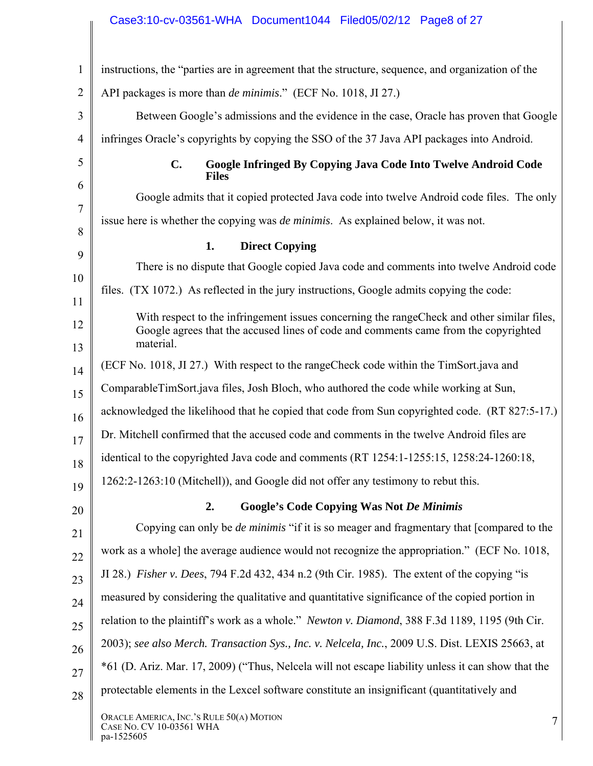## Case3:10-cv-03561-WHA Document1044 Filed05/02/12 Page8 of 27

| $\mathbf{1}$   | instructions, the "parties are in agreement that the structure, sequence, and organization of the                                                                                               |
|----------------|-------------------------------------------------------------------------------------------------------------------------------------------------------------------------------------------------|
| $\overline{2}$ | API packages is more than <i>de minimis.</i> " (ECF No. 1018, JI 27.)                                                                                                                           |
| 3              | Between Google's admissions and the evidence in the case, Oracle has proven that Google                                                                                                         |
| $\overline{4}$ | infringes Oracle's copyrights by copying the SSO of the 37 Java API packages into Android.                                                                                                      |
| 5              | $C_{\bullet}$<br>Google Infringed By Copying Java Code Into Twelve Android Code<br><b>Files</b>                                                                                                 |
| 6              | Google admits that it copied protected Java code into twelve Android code files. The only                                                                                                       |
| 7              | issue here is whether the copying was <i>de minimis</i> . As explained below, it was not.                                                                                                       |
| 8              | 1.<br><b>Direct Copying</b>                                                                                                                                                                     |
| 9              | There is no dispute that Google copied Java code and comments into twelve Android code                                                                                                          |
| 10<br>11       | files. (TX 1072.) As reflected in the jury instructions, Google admits copying the code:                                                                                                        |
| 12<br>13       | With respect to the infringement issues concerning the range Check and other similar files,<br>Google agrees that the accused lines of code and comments came from the copyrighted<br>material. |
| 14             | (ECF No. 1018, JI 27.) With respect to the range Check code within the TimSort java and                                                                                                         |
| 15             | ComparableTimSort.java files, Josh Bloch, who authored the code while working at Sun,                                                                                                           |
| 16             | acknowledged the likelihood that he copied that code from Sun copyrighted code. (RT 827:5-17.)                                                                                                  |
| 17             | Dr. Mitchell confirmed that the accused code and comments in the twelve Android files are                                                                                                       |
| 18             | identical to the copyrighted Java code and comments (RT 1254:1-1255:15, 1258:24-1260:18,                                                                                                        |
| 19             | 1262:2-1263:10 (Mitchell)), and Google did not offer any testimony to rebut this.                                                                                                               |
| 20             | 2.<br><b>Google's Code Copying Was Not De Minimis</b>                                                                                                                                           |
| 21             | Copying can only be <i>de minimis</i> "if it is so meager and fragmentary that [compared to the                                                                                                 |
| 22             | work as a whole] the average audience would not recognize the appropriation." (ECF No. 1018,                                                                                                    |
| 23             | JI 28.) <i>Fisher v. Dees, 794 F.2d 432, 434 n.2 (9th Cir. 1985)</i> . The extent of the copying "is                                                                                            |
| 24             | measured by considering the qualitative and quantitative significance of the copied portion in                                                                                                  |
| 25             | relation to the plaintiff's work as a whole." Newton v. Diamond, 388 F.3d 1189, 1195 (9th Cir.                                                                                                  |
| 26             | 2003); see also Merch. Transaction Sys., Inc. v. Nelcela, Inc., 2009 U.S. Dist. LEXIS 25663, at                                                                                                 |
| 27             | *61 (D. Ariz. Mar. 17, 2009) ("Thus, Nelcela will not escape liability unless it can show that the                                                                                              |
| 28             | protectable elements in the Lexcel software constitute an insignificant (quantitatively and                                                                                                     |
|                | ORACLE AMERICA, INC.'S RULE 50(A) MOTION<br>7<br>CASE NO. CV 10-03561 WHA<br>pa-1525605                                                                                                         |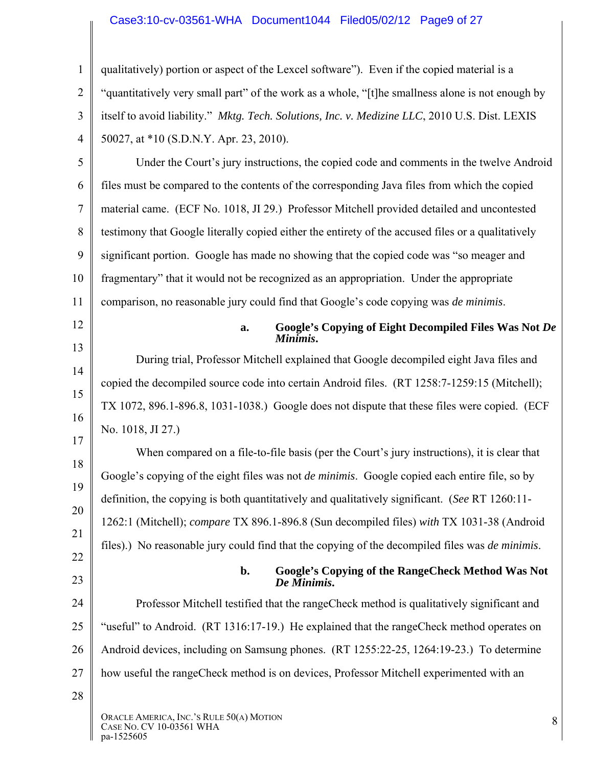### Case3:10-cv-03561-WHA Document1044 Filed05/02/12 Page9 of 27

|                | Case3:10-cv-03561-WHA Document1044 Filed05/02/12 Page9 of 27                                          |
|----------------|-------------------------------------------------------------------------------------------------------|
| $\mathbf{1}$   | qualitatively) portion or aspect of the Lexcel software"). Even if the copied material is a           |
| $\overline{2}$ | "quantitatively very small part" of the work as a whole, "[t]he smallness alone is not enough by      |
| 3              | itself to avoid liability." Mktg. Tech. Solutions, Inc. v. Medizine LLC, 2010 U.S. Dist. LEXIS        |
| 4              | 50027, at *10 (S.D.N.Y. Apr. 23, 2010).                                                               |
| 5              | Under the Court's jury instructions, the copied code and comments in the twelve Android               |
| 6              | files must be compared to the contents of the corresponding Java files from which the copied          |
| $\tau$         | material came. (ECF No. 1018, JI 29.) Professor Mitchell provided detailed and uncontested            |
| 8              | testimony that Google literally copied either the entirety of the accused files or a qualitatively    |
| 9              | significant portion. Google has made no showing that the copied code was "so meager and               |
| 10             | fragmentary" that it would not be recognized as an appropriation. Under the appropriate               |
| 11             | comparison, no reasonable jury could find that Google's code copying was de minimis.                  |
| 12             | Google's Copying of Eight Decompiled Files Was Not De<br>a.<br>Minimis.                               |
| 13             | During trial, Professor Mitchell explained that Google decompiled eight Java files and                |
| 14             | copied the decompiled source code into certain Android files. (RT 1258:7-1259:15 (Mitchell);          |
| 15             | TX 1072, 896.1-896.8, 1031-1038.) Google does not dispute that these files were copied. (ECF          |
| 16             | No. 1018, JI 27.)                                                                                     |
| 17             | When compared on a file-to-file basis (per the Court's jury instructions), it is clear that           |
| 18             | Google's copying of the eight files was not <i>de minimis</i> . Google copied each entire file, so by |
| 19             | definition, the copying is both quantitatively and qualitatively significant. (See RT 1260:11-        |
| 20<br>21       | 1262:1 (Mitchell); compare TX 896.1-896.8 (Sun decompiled files) with TX 1031-38 (Android             |
|                |                                                                                                       |

files).) No reasonable jury could find that the copying of the decompiled files was *de minimis*.

23

22

#### **b. Google's Copying of the RangeCheck Method Was Not**  *De Minimis***.**

24 25 26 27 Professor Mitchell testified that the rangeCheck method is qualitatively significant and "useful" to Android. (RT 1316:17-19.) He explained that the rangeCheck method operates on Android devices, including on Samsung phones. (RT 1255:22-25, 1264:19-23.) To determine how useful the rangeCheck method is on devices, Professor Mitchell experimented with an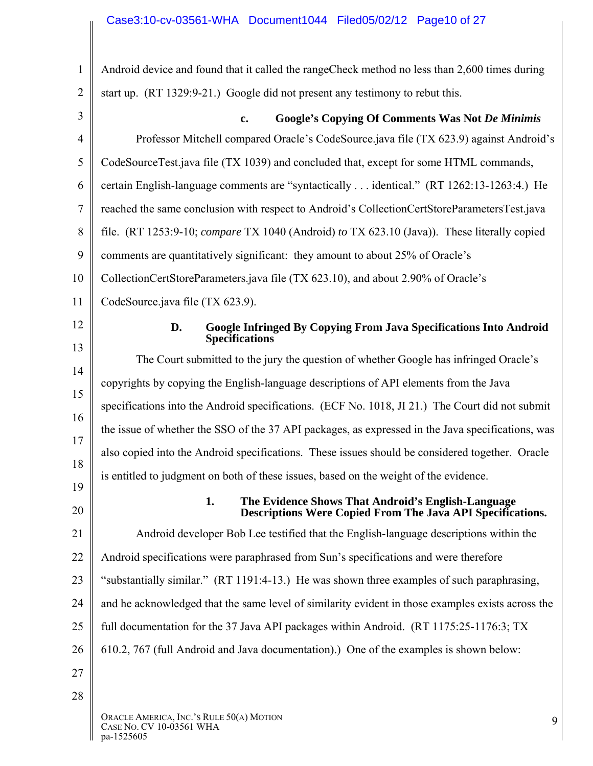| 1              | Android device and found that it called the rangeCheck method no less than 2,600 times during                                 |
|----------------|-------------------------------------------------------------------------------------------------------------------------------|
| $\overline{2}$ | start up. (RT 1329:9-21.) Google did not present any testimony to rebut this.                                                 |
| 3              | <b>Google's Copying Of Comments Was Not De Minimis</b><br>$\mathbf{c}$ .                                                      |
| $\overline{4}$ | Professor Mitchell compared Oracle's CodeSource.java file (TX 623.9) against Android's                                        |
| 5              | CodeSourceTest.java file (TX 1039) and concluded that, except for some HTML commands,                                         |
| 6              | certain English-language comments are "syntactically  identical." (RT 1262:13-1263:4.) He                                     |
| $\overline{7}$ | reached the same conclusion with respect to Android's CollectionCertStoreParametersTest.java                                  |
| 8              | file. (RT 1253:9-10; compare TX 1040 (Android) to TX 623.10 (Java)). These literally copied                                   |
| 9              | comments are quantitatively significant: they amount to about 25% of Oracle's                                                 |
| 10             | CollectionCertStoreParameters.java file (TX 623.10), and about 2.90% of Oracle's                                              |
| 11             | CodeSource.java file (TX 623.9).                                                                                              |
| 12             | <b>Google Infringed By Copying From Java Specifications Into Android</b><br>D.<br><b>Specifications</b>                       |
| 13             | The Court submitted to the jury the question of whether Google has infringed Oracle's                                         |
| 14             | copyrights by copying the English-language descriptions of API elements from the Java                                         |
| 15             | specifications into the Android specifications. (ECF No. 1018, JI 21.) The Court did not submit                               |
| 16             | the issue of whether the SSO of the 37 API packages, as expressed in the Java specifications, was                             |
| 17             | also copied into the Android specifications. These issues should be considered together. Oracle                               |
| 18             | is entitled to judgment on both of these issues, based on the weight of the evidence.                                         |
| 19<br>20       | 1.<br>The Evidence Shows That Android's English-Language<br><b>Descriptions Were Copied From The Java API Specifications.</b> |
| 21             | Android developer Bob Lee testified that the English-language descriptions within the                                         |
| 22             | Android specifications were paraphrased from Sun's specifications and were therefore                                          |
| 23             | "substantially similar." (RT 1191:4-13.) He was shown three examples of such paraphrasing,                                    |
| 24             | and he acknowledged that the same level of similarity evident in those examples exists across the                             |
| 25             | full documentation for the 37 Java API packages within Android. (RT 1175:25-1176:3; TX                                        |
| 26             | 610.2, 767 (full Android and Java documentation).) One of the examples is shown below:                                        |
| 27             |                                                                                                                               |
| 28             |                                                                                                                               |
|                | ORACLE AMERICA, INC.'S RULE 50(A) MOTION<br>9<br>CASE NO. CV 10-03561 WHA<br>pa-1525605                                       |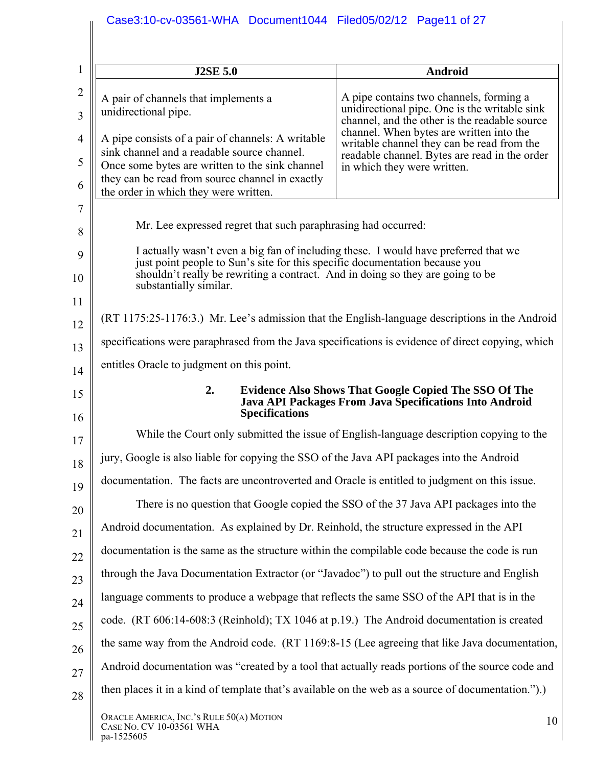| $\mathbf{1}$        | <b>J2SE 5.0</b>                                                                                                                                                                                                                                      | Android                                                                                                                                   |
|---------------------|------------------------------------------------------------------------------------------------------------------------------------------------------------------------------------------------------------------------------------------------------|-------------------------------------------------------------------------------------------------------------------------------------------|
| $\overline{2}$<br>3 | A pair of channels that implements a<br>unidirectional pipe.                                                                                                                                                                                         | A pipe contains two channels, forming a<br>unidirectional pipe. One is the writable sink<br>channel, and the other is the readable source |
| $\overline{4}$      | A pipe consists of a pair of channels: A writable                                                                                                                                                                                                    | channel. When bytes are written into the<br>writable channel they can be read from the                                                    |
| 5                   | sink channel and a readable source channel.<br>Once some bytes are written to the sink channel                                                                                                                                                       | readable channel. Bytes are read in the order<br>in which they were written.                                                              |
| 6                   | they can be read from source channel in exactly<br>the order in which they were written.                                                                                                                                                             |                                                                                                                                           |
| 7                   |                                                                                                                                                                                                                                                      |                                                                                                                                           |
| 8                   | Mr. Lee expressed regret that such paraphrasing had occurred:                                                                                                                                                                                        |                                                                                                                                           |
| 9                   | I actually wasn't even a big fan of including these. I would have preferred that we<br>just point people to Sun's site for this specific documentation because you<br>shouldn't really be rewriting a contract. And in doing so they are going to be |                                                                                                                                           |
| 10<br>11            | substantially similar.                                                                                                                                                                                                                               |                                                                                                                                           |
| 12                  | (RT 1175:25-1176:3.) Mr. Lee's admission that the English-language descriptions in the Android                                                                                                                                                       |                                                                                                                                           |
| 13                  | specifications were paraphrased from the Java specifications is evidence of direct copying, which                                                                                                                                                    |                                                                                                                                           |
| 14                  | entitles Oracle to judgment on this point.                                                                                                                                                                                                           |                                                                                                                                           |
| 15<br>16            | 2.<br><b>Specifications</b>                                                                                                                                                                                                                          | <b>Evidence Also Shows That Google Copied The SSO Of The</b><br>Java API Packages From Java Specifications Into Android                   |
| 17                  |                                                                                                                                                                                                                                                      | While the Court only submitted the issue of English-language description copying to the                                                   |
| 18                  | jury, Google is also liable for copying the SSO of the Java API packages into the Android                                                                                                                                                            |                                                                                                                                           |
| 19                  | documentation. The facts are uncontroverted and Oracle is entitled to judgment on this issue.                                                                                                                                                        |                                                                                                                                           |
| 20                  |                                                                                                                                                                                                                                                      | There is no question that Google copied the SSO of the 37 Java API packages into the                                                      |
| 21                  | Android documentation. As explained by Dr. Reinhold, the structure expressed in the API                                                                                                                                                              |                                                                                                                                           |
| 22                  | documentation is the same as the structure within the compilable code because the code is run                                                                                                                                                        |                                                                                                                                           |
| 23                  | through the Java Documentation Extractor (or "Javadoc") to pull out the structure and English                                                                                                                                                        |                                                                                                                                           |
| 24                  | language comments to produce a webpage that reflects the same SSO of the API that is in the                                                                                                                                                          |                                                                                                                                           |
| 25                  | code. (RT 606:14-608:3 (Reinhold); TX 1046 at p.19.) The Android documentation is created                                                                                                                                                            |                                                                                                                                           |
| 26                  | the same way from the Android code. (RT 1169:8-15 (Lee agreeing that like Java documentation,                                                                                                                                                        |                                                                                                                                           |
| 27                  | Android documentation was "created by a tool that actually reads portions of the source code and                                                                                                                                                     |                                                                                                                                           |
| 28                  | then places it in a kind of template that's available on the web as a source of documentation.").)                                                                                                                                                   |                                                                                                                                           |
|                     | ORACLE AMERICA, INC.'S RULE 50(A) MOTION<br>CASE NO. CV 10-03561 WHA<br>pa-1525605                                                                                                                                                                   | 10                                                                                                                                        |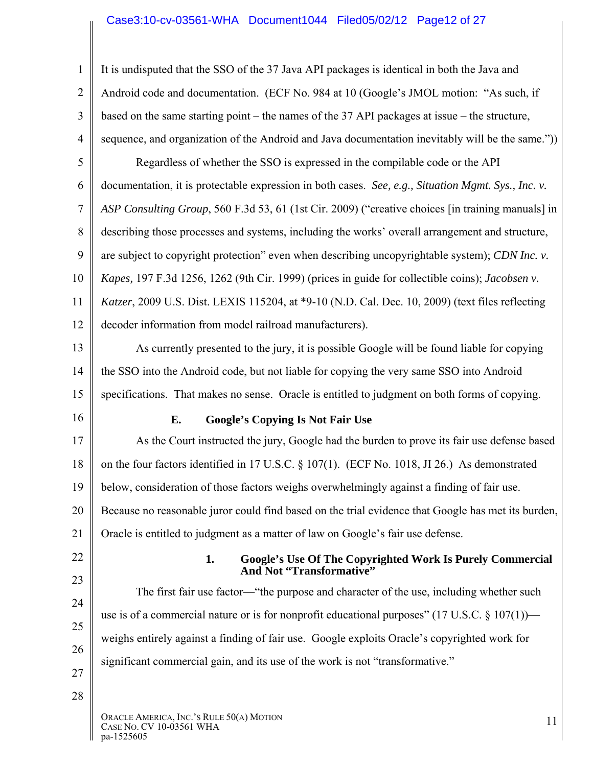## Case3:10-cv-03561-WHA Document1044 Filed05/02/12 Page12 of 27

| $\mathbf{1}$   | It is undisputed that the SSO of the 37 Java API packages is identical in both the Java and               |
|----------------|-----------------------------------------------------------------------------------------------------------|
| $\overline{2}$ | Android code and documentation. (ECF No. 984 at 10 (Google's JMOL motion: "As such, if                    |
| 3              | based on the same starting point – the names of the 37 API packages at issue – the structure,             |
| $\overline{4}$ | sequence, and organization of the Android and Java documentation inevitably will be the same."))          |
| 5              | Regardless of whether the SSO is expressed in the compilable code or the API                              |
| 6              | documentation, it is protectable expression in both cases. See, e.g., Situation Mgmt. Sys., Inc. v.       |
| $\tau$         | ASP Consulting Group, 560 F.3d 53, 61 (1st Cir. 2009) ("creative choices [in training manuals] in         |
| 8              | describing those processes and systems, including the works' overall arrangement and structure,           |
| 9              | are subject to copyright protection" even when describing uncopyrightable system); CDN Inc. v.            |
| 10             | Kapes, 197 F.3d 1256, 1262 (9th Cir. 1999) (prices in guide for collectible coins); Jacobsen v.           |
| 11             | Katzer, 2009 U.S. Dist. LEXIS 115204, at *9-10 (N.D. Cal. Dec. 10, 2009) (text files reflecting           |
| 12             | decoder information from model railroad manufacturers).                                                   |
| 13             | As currently presented to the jury, it is possible Google will be found liable for copying                |
| 14             | the SSO into the Android code, but not liable for copying the very same SSO into Android                  |
| 15             | specifications. That makes no sense. Oracle is entitled to judgment on both forms of copying.             |
| 16             | E.<br><b>Google's Copying Is Not Fair Use</b>                                                             |
| 17             | As the Court instructed the jury, Google had the burden to prove its fair use defense based               |
| 18             | on the four factors identified in 17 U.S.C. § 107(1). (ECF No. 1018, JI 26.) As demonstrated              |
| 19             | below, consideration of those factors weighs overwhelmingly against a finding of fair use.                |
| 20             | Because no reasonable juror could find based on the trial evidence that Google has met its burden,        |
| 21             | Oracle is entitled to judgment as a matter of law on Google's fair use defense.                           |
| 22             | 1.<br><b>Google's Use Of The Copyrighted Work Is Purely Commercial</b><br>And Not "Transformative"        |
| 23             | The first fair use factor—"the purpose and character of the use, including whether such                   |
| 24             | use is of a commercial nature or is for nonprofit educational purposes" $(17 \text{ U.S.C.} \$ 107(1))$ — |
| 25             | weighs entirely against a finding of fair use. Google exploits Oracle's copyrighted work for              |
| 26             | significant commercial gain, and its use of the work is not "transformative."                             |
|                |                                                                                                           |
| 27<br>28       |                                                                                                           |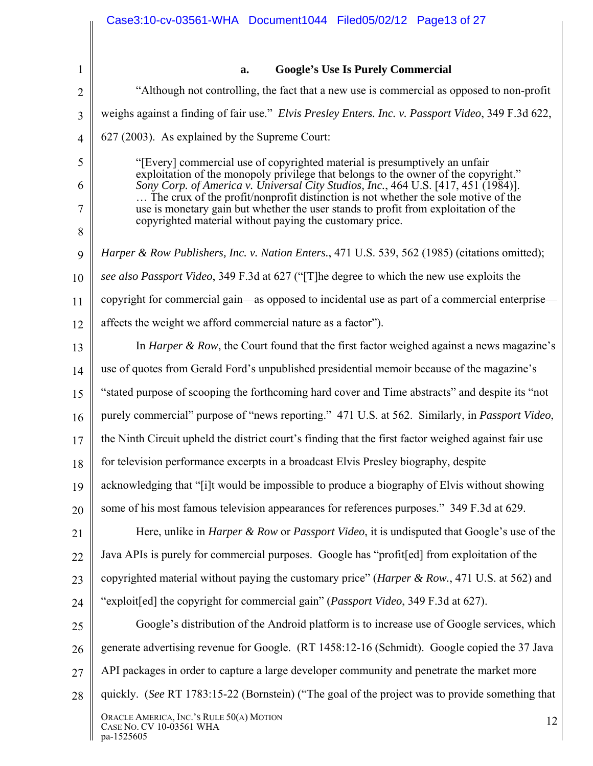|                | Case3:10-cv-03561-WHA Document1044 Filed05/02/12 Page13 of 27                                                                                                             |
|----------------|---------------------------------------------------------------------------------------------------------------------------------------------------------------------------|
|                |                                                                                                                                                                           |
| $\mathbf{1}$   | <b>Google's Use Is Purely Commercial</b><br>a.                                                                                                                            |
| $\overline{2}$ | "Although not controlling, the fact that a new use is commercial as opposed to non-profit                                                                                 |
| 3              | weighs against a finding of fair use." Elvis Presley Enters. Inc. v. Passport Video, 349 F.3d 622,                                                                        |
| $\overline{4}$ | 627 (2003). As explained by the Supreme Court:                                                                                                                            |
| 5              | "[Every] commercial use of copyrighted material is presumptively an unfair                                                                                                |
| 6              | exploitation of the monopoly privilege that belongs to the owner of the copyright."<br>Sony Corp. of America v. Universal City Studios, Inc., 464 U.S. [417, 451 (1984)]. |
| 7              | The crux of the profit/nonprofit distinction is not whether the sole motive of the<br>use is monetary gain but whether the user stands to profit from exploitation of the |
| 8              | copyrighted material without paying the customary price.                                                                                                                  |
| 9              | Harper & Row Publishers, Inc. v. Nation Enters., 471 U.S. 539, 562 (1985) (citations omitted);                                                                            |
| 10             | see also Passport Video, 349 F.3d at 627 ("The degree to which the new use exploits the                                                                                   |
| 11             | copyright for commercial gain—as opposed to incidental use as part of a commercial enterprise—                                                                            |
| 12             | affects the weight we afford commercial nature as a factor").                                                                                                             |
| 13             | In <i>Harper &amp; Row</i> , the Court found that the first factor weighed against a news magazine's                                                                      |
| 14             | use of quotes from Gerald Ford's unpublished presidential memoir because of the magazine's                                                                                |
| 15             | "stated purpose of scooping the forthcoming hard cover and Time abstracts" and despite its "not                                                                           |
| 16             | purely commercial" purpose of "news reporting." 471 U.S. at 562. Similarly, in Passport Video,                                                                            |
| 17             | the Ninth Circuit upheld the district court's finding that the first factor weighed against fair use                                                                      |
| 18             | for television performance excerpts in a broadcast Elvis Presley biography, despite                                                                                       |
| 19             | acknowledging that "[i]t would be impossible to produce a biography of Elvis without showing                                                                              |
| 20             | some of his most famous television appearances for references purposes." 349 F.3d at 629.                                                                                 |
| 21             | Here, unlike in <i>Harper &amp; Row</i> or <i>Passport Video</i> , it is undisputed that Google's use of the                                                              |
| 22             | Java APIs is purely for commercial purposes. Google has "profit[ed] from exploitation of the                                                                              |
| 23             | copyrighted material without paying the customary price" ( <i>Harper &amp; Row.</i> , 471 U.S. at 562) and                                                                |
| 24             | "exploit[ed] the copyright for commercial gain" (Passport Video, 349 F.3d at 627).                                                                                        |
| 25             | Google's distribution of the Android platform is to increase use of Google services, which                                                                                |
| 26             | generate advertising revenue for Google. (RT 1458:12-16 (Schmidt). Google copied the 37 Java                                                                              |
| 27             | API packages in order to capture a large developer community and penetrate the market more                                                                                |
| 28             | quickly. (See RT 1783:15-22 (Bornstein) ("The goal of the project was to provide something that                                                                           |
|                | ORACLE AMERICA, INC.'S RULE 50(A) MOTION<br>12<br>CASE NO. CV 10-03561 WHA<br>pa-1525605                                                                                  |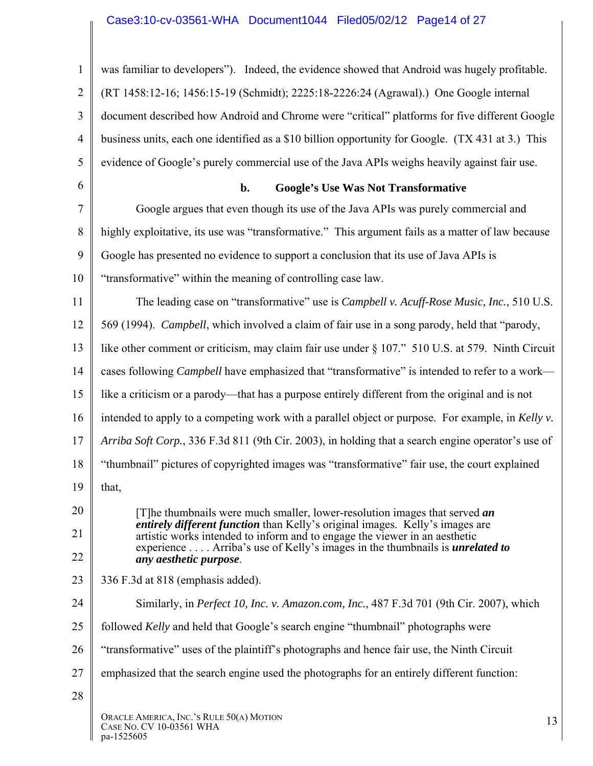## Case3:10-cv-03561-WHA Document1044 Filed05/02/12 Page14 of 27

| $\mathbf{1}$   | was familiar to developers"). Indeed, the evidence showed that Android was hugely profitable.                                                                      |
|----------------|--------------------------------------------------------------------------------------------------------------------------------------------------------------------|
| $\overline{2}$ | (RT 1458:12-16; 1456:15-19 (Schmidt); 2225:18-2226:24 (Agrawal).) One Google internal                                                                              |
| 3              | document described how Android and Chrome were "critical" platforms for five different Google                                                                      |
| $\overline{4}$ | business units, each one identified as a \$10 billion opportunity for Google. (TX 431 at 3.) This                                                                  |
| 5              | evidence of Google's purely commercial use of the Java APIs weighs heavily against fair use.                                                                       |
| 6              | <b>Google's Use Was Not Transformative</b><br>b.                                                                                                                   |
| 7              | Google argues that even though its use of the Java APIs was purely commercial and                                                                                  |
| 8              | highly exploitative, its use was "transformative." This argument fails as a matter of law because                                                                  |
| 9              | Google has presented no evidence to support a conclusion that its use of Java APIs is                                                                              |
| 10             | "transformative" within the meaning of controlling case law.                                                                                                       |
| 11             | The leading case on "transformative" use is <i>Campbell v. Acuff-Rose Music, Inc.</i> , 510 U.S.                                                                   |
| 12             | 569 (1994). Campbell, which involved a claim of fair use in a song parody, held that "parody,                                                                      |
| 13             | like other comment or criticism, may claim fair use under § 107." 510 U.S. at 579. Ninth Circuit                                                                   |
| 14             | cases following <i>Campbell</i> have emphasized that "transformative" is intended to refer to a work-                                                              |
| 15             | like a criticism or a parody—that has a purpose entirely different from the original and is not                                                                    |
| 16             | intended to apply to a competing work with a parallel object or purpose. For example, in Kelly v.                                                                  |
| 17             | Arriba Soft Corp., 336 F.3d 811 (9th Cir. 2003), in holding that a search engine operator's use of                                                                 |
| 18             | "thumbnail" pictures of copyrighted images was "transformative" fair use, the court explained                                                                      |
| 19             | that,                                                                                                                                                              |
| 20             | [T] he thumbnails were much smaller, lower-resolution images that served an<br><i>entirely different function</i> than Kelly's original images. Kelly's images are |
| 21             | artistic works intended to inform and to engage the viewer in an aesthetic                                                                                         |
| 22             | experience Arriba's use of Kelly's images in the thumbnails is <i>unrelated to</i><br>any aesthetic purpose.                                                       |
| 23             | 336 F.3d at 818 (emphasis added).                                                                                                                                  |
| 24             | Similarly, in <i>Perfect 10, Inc. v. Amazon.com, Inc.</i> , 487 F.3d 701 (9th Cir. 2007), which                                                                    |
| 25             | followed <i>Kelly</i> and held that Google's search engine "thumbnail" photographs were                                                                            |
| 26             | "transformative" uses of the plaintiff's photographs and hence fair use, the Ninth Circuit                                                                         |
| 27             | emphasized that the search engine used the photographs for an entirely different function:                                                                         |
| 28             |                                                                                                                                                                    |
|                | ORACLE AMERICA, INC.'S RULE 50(A) MOTION<br>13<br>CASE NO. CV 10-03561 WHA<br>pa-1525605                                                                           |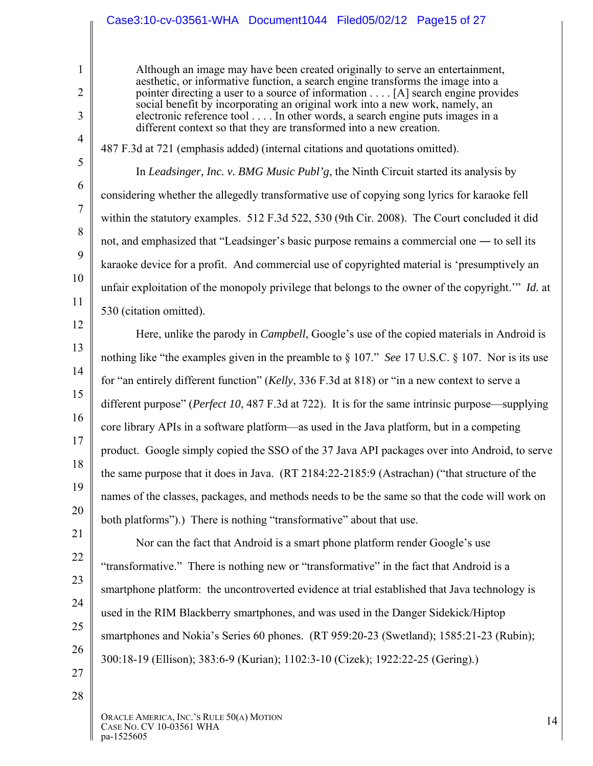### Case3:10-cv-03561-WHA Document1044 Filed05/02/12 Page15 of 27

Although an image may have been created originally to serve an entertainment, aesthetic, or informative function, a search engine transforms the image into a pointer directing a user to a source of information . . . . [A] search engine provides social benefit by incorporating an original work into a new work, namely, an electronic reference tool . . . . In other words, a search engine puts images in a different context so that they are transformed into a new creation.

487 F.3d at 721 (emphasis added) (internal citations and quotations omitted).

In *Leadsinger, Inc. v. BMG Music Publ'g*, the Ninth Circuit started its analysis by considering whether the allegedly transformative use of copying song lyrics for karaoke fell within the statutory examples. 512 F.3d 522, 530 (9th Cir. 2008). The Court concluded it did not, and emphasized that "Leadsinger's basic purpose remains a commercial one ― to sell its karaoke device for a profit. And commercial use of copyrighted material is 'presumptively an unfair exploitation of the monopoly privilege that belongs to the owner of the copyright.'" *Id.* at 530 (citation omitted).

12 13

1

2

3

4

5

6

7

8

9

10

11

14 15 16 17 18 19 20 21 Here, unlike the parody in *Campbell*, Google's use of the copied materials in Android is nothing like "the examples given in the preamble to § 107." *See* 17 U.S.C. § 107. Nor is its use for "an entirely different function" (*Kelly*, 336 F.3d at 818) or "in a new context to serve a different purpose" (*Perfect 10*, 487 F.3d at 722). It is for the same intrinsic purpose—supplying core library APIs in a software platform—as used in the Java platform, but in a competing product. Google simply copied the SSO of the 37 Java API packages over into Android, to serve the same purpose that it does in Java. (RT 2184:22-2185:9 (Astrachan) ("that structure of the names of the classes, packages, and methods needs to be the same so that the code will work on both platforms").) There is nothing "transformative" about that use.

22 23 24 25 26 Nor can the fact that Android is a smart phone platform render Google's use "transformative." There is nothing new or "transformative" in the fact that Android is a smartphone platform: the uncontroverted evidence at trial established that Java technology is used in the RIM Blackberry smartphones, and was used in the Danger Sidekick/Hiptop smartphones and Nokia's Series 60 phones. (RT 959:20-23 (Swetland); 1585:21-23 (Rubin); 300:18-19 (Ellison); 383:6-9 (Kurian); 1102:3-10 (Cizek); 1922:22-25 (Gering).)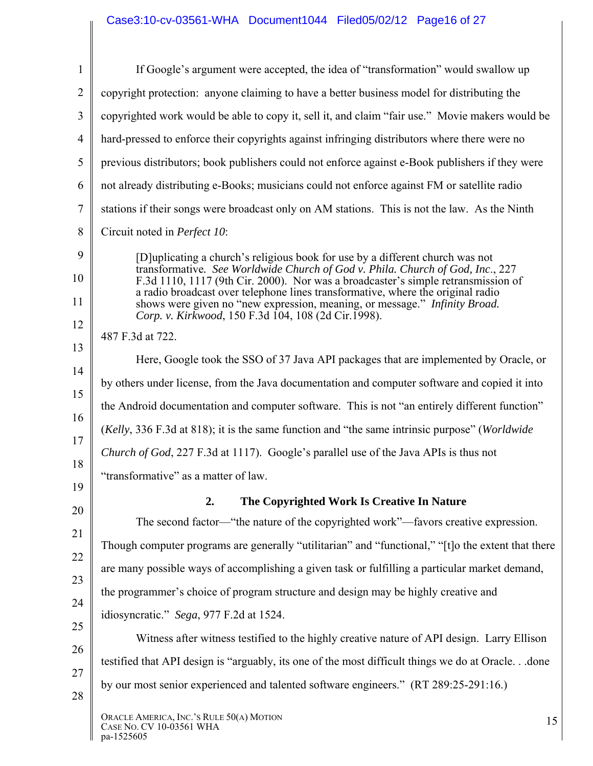## Case3:10-cv-03561-WHA Document1044 Filed05/02/12 Page16 of 27

|                | If Google's argument were accepted, the idea of "transformation" would swallow up                                                                                                                                                                  |
|----------------|----------------------------------------------------------------------------------------------------------------------------------------------------------------------------------------------------------------------------------------------------|
| $\overline{2}$ | copyright protection: anyone claiming to have a better business model for distributing the                                                                                                                                                         |
|                | copyrighted work would be able to copy it, sell it, and claim "fair use." Movie makers would be                                                                                                                                                    |
|                | hard-pressed to enforce their copyrights against infringing distributors where there were no                                                                                                                                                       |
|                | previous distributors; book publishers could not enforce against e-Book publishers if they were                                                                                                                                                    |
|                | not already distributing e-Books; musicians could not enforce against FM or satellite radio                                                                                                                                                        |
|                | stations if their songs were broadcast only on AM stations. This is not the law. As the Ninth                                                                                                                                                      |
|                | Circuit noted in Perfect 10:                                                                                                                                                                                                                       |
|                | [D] uplicating a church's religious book for use by a different church was not<br>transformative. See Worldwide Church of God v. Phila. Church of God, Inc., 227                                                                                   |
|                | F.3d 1110, 1117 (9th Cir. 2000). Nor was a broadcaster's simple retransmission of<br>a radio broadcast over telephone lines transformative, where the original radio<br>shows were given no "new expression, meaning, or message." Infinity Broad. |
|                | Corp. v. Kirkwood, 150 F.3d 104, 108 (2d Cir.1998).<br>487 F.3d at 722.                                                                                                                                                                            |
|                | Here, Google took the SSO of 37 Java API packages that are implemented by Oracle, or                                                                                                                                                               |
|                | by others under license, from the Java documentation and computer software and copied it into                                                                                                                                                      |
|                | the Android documentation and computer software. This is not "an entirely different function"                                                                                                                                                      |
|                |                                                                                                                                                                                                                                                    |
|                | (Kelly, 336 F.3d at 818); it is the same function and "the same intrinsic purpose" (Worldwide                                                                                                                                                      |
|                | <i>Church of God</i> , 227 F.3d at 1117). Google's parallel use of the Java APIs is thus not                                                                                                                                                       |
|                | "transformative" as a matter of law.                                                                                                                                                                                                               |
|                | 2.<br>The Copyrighted Work Is Creative In Nature                                                                                                                                                                                                   |
|                | The second factor—"the nature of the copyrighted work"—favors creative expression.                                                                                                                                                                 |
|                | Though computer programs are generally "utilitarian" and "functional," "[t] o the extent that there                                                                                                                                                |
|                | are many possible ways of accomplishing a given task or fulfilling a particular market demand,                                                                                                                                                     |
|                | the programmer's choice of program structure and design may be highly creative and                                                                                                                                                                 |
|                | idiosyncratic." Sega, 977 F.2d at 1524.                                                                                                                                                                                                            |
|                | Witness after witness testified to the highly creative nature of API design. Larry Ellison                                                                                                                                                         |
|                | testified that API design is "arguably, its one of the most difficult things we do at Oracle done                                                                                                                                                  |
|                | by our most senior experienced and talented software engineers." (RT 289:25-291:16.)                                                                                                                                                               |
|                | ORACLE AMERICA, INC.'S RULE 50(A) MOTION<br>15<br>CASE NO. CV 10-03561 WHA<br>pa-1525605                                                                                                                                                           |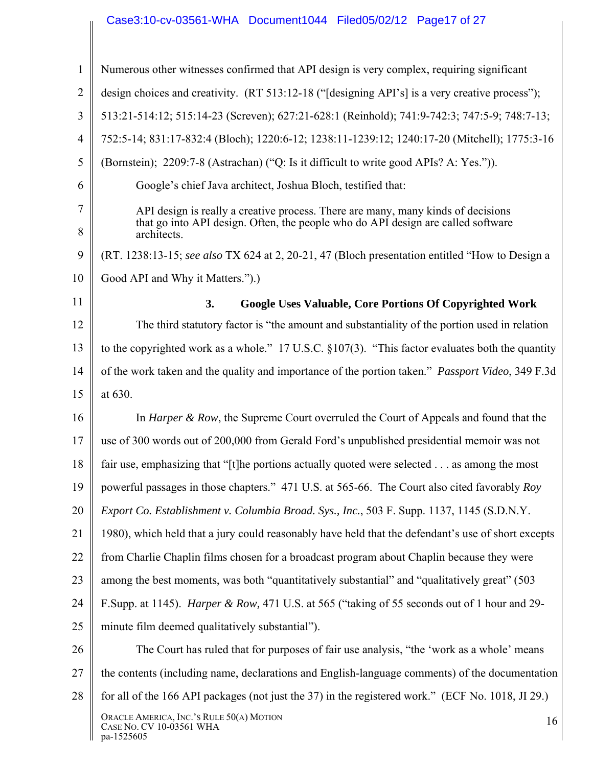## Case3:10-cv-03561-WHA Document1044 Filed05/02/12 Page17 of 27

| $\mathbf{1}$   | Numerous other witnesses confirmed that API design is very complex, requiring significant                                                                                           |
|----------------|-------------------------------------------------------------------------------------------------------------------------------------------------------------------------------------|
| $\overline{2}$ | design choices and creativity. (RT 513:12-18 ("[designing API's] is a very creative process");                                                                                      |
| 3              | 513:21-514:12; 515:14-23 (Screven); 627:21-628:1 (Reinhold); 741:9-742:3; 747:5-9; 748:7-13;                                                                                        |
| 4              | 752:5-14; 831:17-832:4 (Bloch); 1220:6-12; 1238:11-1239:12; 1240:17-20 (Mitchell); 1775:3-16                                                                                        |
| 5              | (Bornstein); 2209:7-8 (Astrachan) ("Q: Is it difficult to write good APIs? A: Yes.")).                                                                                              |
| 6              | Google's chief Java architect, Joshua Bloch, testified that:                                                                                                                        |
| 7<br>8         | API design is really a creative process. There are many, many kinds of decisions<br>that go into API design. Often, the people who do API design are called software<br>architects. |
| 9              | (RT. 1238:13-15; see also TX 624 at 2, 20-21, 47 (Bloch presentation entitled "How to Design a                                                                                      |
| 10             | Good API and Why it Matters.").)                                                                                                                                                    |
| 11             | <b>Google Uses Valuable, Core Portions Of Copyrighted Work</b><br>3.                                                                                                                |
| 12             | The third statutory factor is "the amount and substantiality of the portion used in relation                                                                                        |
| 13             | to the copyrighted work as a whole." 17 U.S.C. $\S 107(3)$ . "This factor evaluates both the quantity                                                                               |
| 14             | of the work taken and the quality and importance of the portion taken." <i>Passport Video</i> , 349 F.3d                                                                            |
| 15             | at 630.                                                                                                                                                                             |
| 16             | In <i>Harper &amp; Row</i> , the Supreme Court overruled the Court of Appeals and found that the                                                                                    |
| 17             | use of 300 words out of 200,000 from Gerald Ford's unpublished presidential memoir was not                                                                                          |
| 18             | fair use, emphasizing that "[t] he portions actually quoted were selected as among the most                                                                                         |
| 19             | powerful passages in those chapters." 471 U.S. at 565-66. The Court also cited favorably Roy                                                                                        |
| 20             | Export Co. Establishment v. Columbia Broad. Sys., Inc., 503 F. Supp. 1137, 1145 (S.D.N.Y.                                                                                           |
| 21             | 1980), which held that a jury could reasonably have held that the defendant's use of short excepts                                                                                  |
| 22             | from Charlie Chaplin films chosen for a broadcast program about Chaplin because they were                                                                                           |
| 23             | among the best moments, was both "quantitatively substantial" and "qualitatively great" (503)                                                                                       |
| 24             | F.Supp. at 1145). <i>Harper &amp; Row</i> , 471 U.S. at 565 ("taking of 55 seconds out of 1 hour and 29-                                                                            |
| 25             | minute film deemed qualitatively substantial").                                                                                                                                     |
| 26             | The Court has ruled that for purposes of fair use analysis, "the 'work as a whole' means                                                                                            |
| 27             | the contents (including name, declarations and English-language comments) of the documentation                                                                                      |
| 28             | for all of the 166 API packages (not just the 37) in the registered work." (ECF No. 1018, JI 29.)                                                                                   |
|                | ORACLE AMERICA, INC.'S RULE 50(A) MOTION<br>16<br>CASE NO. CV 10-03561 WHA<br>pa-1525605                                                                                            |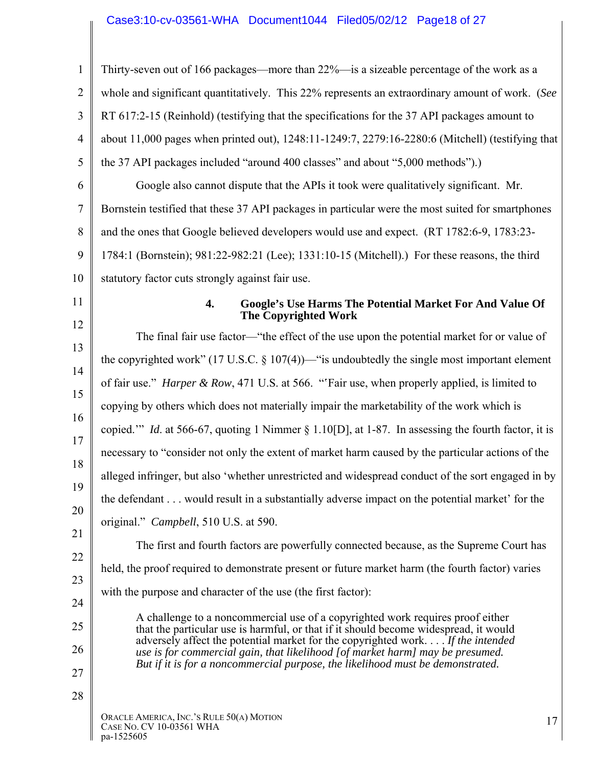# Case3:10-cv-03561-WHA Document1044 Filed05/02/12 Page18 of 27

| 1              | Thirty-seven out of 166 packages—more than 22%—is a sizeable percentage of the work as a                                                                               |  |  |  |  |  |  |
|----------------|------------------------------------------------------------------------------------------------------------------------------------------------------------------------|--|--|--|--|--|--|
| $\overline{2}$ | whole and significant quantitatively. This 22% represents an extraordinary amount of work. (See                                                                        |  |  |  |  |  |  |
| 3              | RT 617:2-15 (Reinhold) (testifying that the specifications for the 37 API packages amount to                                                                           |  |  |  |  |  |  |
| $\overline{4}$ | about 11,000 pages when printed out), 1248:11-1249:7, 2279:16-2280:6 (Mitchell) (testifying that                                                                       |  |  |  |  |  |  |
| 5              | the 37 API packages included "around 400 classes" and about "5,000 methods").)                                                                                         |  |  |  |  |  |  |
| 6              | Google also cannot dispute that the APIs it took were qualitatively significant. Mr.                                                                                   |  |  |  |  |  |  |
| $\overline{7}$ | Bornstein testified that these 37 API packages in particular were the most suited for smartphones                                                                      |  |  |  |  |  |  |
| 8              | and the ones that Google believed developers would use and expect. (RT 1782:6-9, 1783:23-                                                                              |  |  |  |  |  |  |
| 9              | 1784:1 (Bornstein); 981:22-982:21 (Lee); 1331:10-15 (Mitchell).) For these reasons, the third                                                                          |  |  |  |  |  |  |
| 10             | statutory factor cuts strongly against fair use.                                                                                                                       |  |  |  |  |  |  |
| 11             | <b>Google's Use Harms The Potential Market For And Value Of</b><br>4.<br><b>The Copyrighted Work</b>                                                                   |  |  |  |  |  |  |
| 12             | The final fair use factor—"the effect of the use upon the potential market for or value of                                                                             |  |  |  |  |  |  |
| 13<br>14       | the copyrighted work" (17 U.S.C. $\S$ 107(4))—" is undoubtedly the single most important element                                                                       |  |  |  |  |  |  |
| 15             | of fair use." Harper & Row, 471 U.S. at 566. "'Fair use, when properly applied, is limited to                                                                          |  |  |  |  |  |  |
| 16             | copying by others which does not materially impair the marketability of the work which is                                                                              |  |  |  |  |  |  |
| 17             | copied." <i>Id.</i> at 566-67, quoting 1 Nimmer § 1.10[D], at 1-87. In assessing the fourth factor, it is                                                              |  |  |  |  |  |  |
| 18             | necessary to "consider not only the extent of market harm caused by the particular actions of the                                                                      |  |  |  |  |  |  |
| 19             | alleged infringer, but also 'whether unrestricted and widespread conduct of the sort engaged in by                                                                     |  |  |  |  |  |  |
| 20             | the defendant would result in a substantially adverse impact on the potential market' for the                                                                          |  |  |  |  |  |  |
| 21             | original." Campbell, 510 U.S. at 590.                                                                                                                                  |  |  |  |  |  |  |
| 22             | The first and fourth factors are powerfully connected because, as the Supreme Court has                                                                                |  |  |  |  |  |  |
| 23             | held, the proof required to demonstrate present or future market harm (the fourth factor) varies                                                                       |  |  |  |  |  |  |
| 24             | with the purpose and character of the use (the first factor):                                                                                                          |  |  |  |  |  |  |
| 25             | A challenge to a noncommercial use of a copyrighted work requires proof either                                                                                         |  |  |  |  |  |  |
| 26             | that the particular use is harmful, or that if it should become widespread, it would<br>adversely affect the potential market for the copyrighted work If the intended |  |  |  |  |  |  |
| 27             | use is for commercial gain, that likelihood [of market harm] may be presumed.<br>But if it is for a noncommercial purpose, the likelihood must be demonstrated.        |  |  |  |  |  |  |
| 28             |                                                                                                                                                                        |  |  |  |  |  |  |
|                | ORACLE AMERICA, INC.'S RULE 50(A) MOTION<br>17<br>CASE NO. CV 10-03561 WHA<br>pa-1525605                                                                               |  |  |  |  |  |  |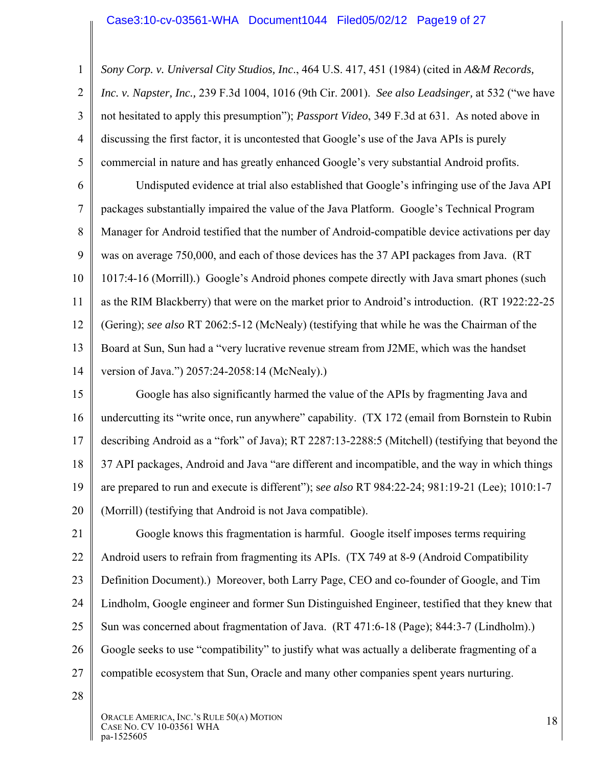1 2 3 4 5 *Sony Corp. v. Universal City Studios, Inc*., 464 U.S. 417, 451 (1984) (cited in *A&M Records, Inc. v. Napster, Inc.,* 239 F.3d 1004, 1016 (9th Cir. 2001). *See also Leadsinger,* at 532 ("we have not hesitated to apply this presumption"); *Passport Video*, 349 F.3d at 631. As noted above in discussing the first factor, it is uncontested that Google's use of the Java APIs is purely commercial in nature and has greatly enhanced Google's very substantial Android profits.

6 7 8 9 10 11 12 13 14 Undisputed evidence at trial also established that Google's infringing use of the Java API packages substantially impaired the value of the Java Platform. Google's Technical Program Manager for Android testified that the number of Android-compatible device activations per day was on average 750,000, and each of those devices has the 37 API packages from Java. (RT 1017:4-16 (Morrill).) Google's Android phones compete directly with Java smart phones (such as the RIM Blackberry) that were on the market prior to Android's introduction. (RT 1922:22-25 (Gering); *see also* RT 2062:5-12 (McNealy) (testifying that while he was the Chairman of the Board at Sun, Sun had a "very lucrative revenue stream from J2ME, which was the handset version of Java.") 2057:24-2058:14 (McNealy).)

15 16 17 18 19 20 Google has also significantly harmed the value of the APIs by fragmenting Java and undercutting its "write once, run anywhere" capability. (TX 172 (email from Bornstein to Rubin describing Android as a "fork" of Java); RT 2287:13-2288:5 (Mitchell) (testifying that beyond the 37 API packages, Android and Java "are different and incompatible, and the way in which things are prepared to run and execute is different"); s*ee also* RT 984:22-24; 981:19-21 (Lee); 1010:1-7 (Morrill) (testifying that Android is not Java compatible).

21 22 23 24 25 26 27 Google knows this fragmentation is harmful. Google itself imposes terms requiring Android users to refrain from fragmenting its APIs. (TX 749 at 8-9 (Android Compatibility Definition Document).) Moreover, both Larry Page, CEO and co-founder of Google, and Tim Lindholm, Google engineer and former Sun Distinguished Engineer, testified that they knew that Sun was concerned about fragmentation of Java. (RT 471:6-18 (Page); 844:3-7 (Lindholm).) Google seeks to use "compatibility" to justify what was actually a deliberate fragmenting of a compatible ecosystem that Sun, Oracle and many other companies spent years nurturing.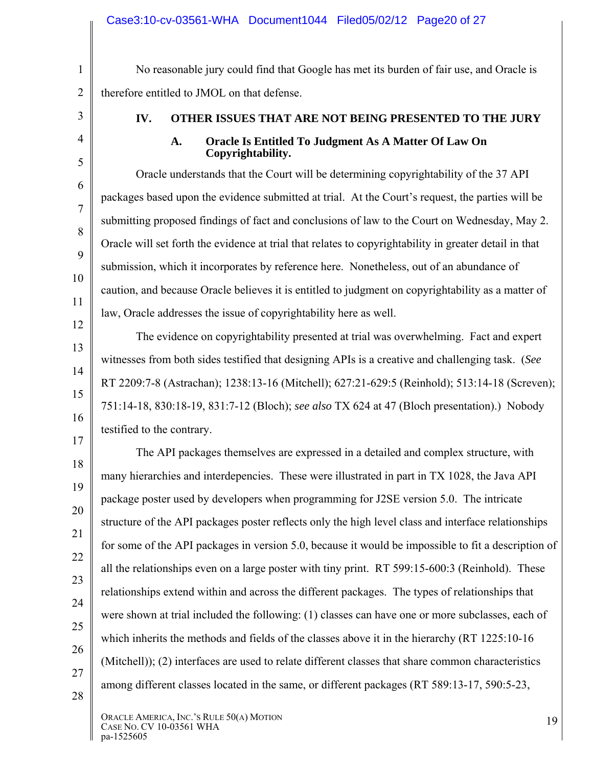No reasonable jury could find that Google has met its burden of fair use, and Oracle is therefore entitled to JMOL on that defense.

1

2

3

4

5

6

7

8

9

10

11

12

13

14

15

16

17

## **IV. OTHER ISSUES THAT ARE NOT BEING PRESENTED TO THE JURY**

#### **A. Oracle Is Entitled To Judgment As A Matter Of Law On Copyrightability.**

Oracle understands that the Court will be determining copyrightability of the 37 API packages based upon the evidence submitted at trial. At the Court's request, the parties will be submitting proposed findings of fact and conclusions of law to the Court on Wednesday, May 2. Oracle will set forth the evidence at trial that relates to copyrightability in greater detail in that submission, which it incorporates by reference here. Nonetheless, out of an abundance of caution, and because Oracle believes it is entitled to judgment on copyrightability as a matter of law, Oracle addresses the issue of copyrightability here as well.

The evidence on copyrightability presented at trial was overwhelming. Fact and expert witnesses from both sides testified that designing APIs is a creative and challenging task. (*See*  RT 2209:7-8 (Astrachan); 1238:13-16 (Mitchell); 627:21-629:5 (Reinhold); 513:14-18 (Screven); 751:14-18, 830:18-19, 831:7-12 (Bloch); *see also* TX 624 at 47 (Bloch presentation).) Nobody testified to the contrary.

18 19 20 21 22 23 24 25 26 27 28 The API packages themselves are expressed in a detailed and complex structure, with many hierarchies and interdepencies. These were illustrated in part in TX 1028, the Java API package poster used by developers when programming for J2SE version 5.0. The intricate structure of the API packages poster reflects only the high level class and interface relationships for some of the API packages in version 5.0, because it would be impossible to fit a description of all the relationships even on a large poster with tiny print. RT 599:15-600:3 (Reinhold). These relationships extend within and across the different packages. The types of relationships that were shown at trial included the following: (1) classes can have one or more subclasses, each of which inherits the methods and fields of the classes above it in the hierarchy (RT 1225:10-16 (Mitchell)); (2) interfaces are used to relate different classes that share common characteristics among different classes located in the same, or different packages (RT 589:13-17, 590:5-23,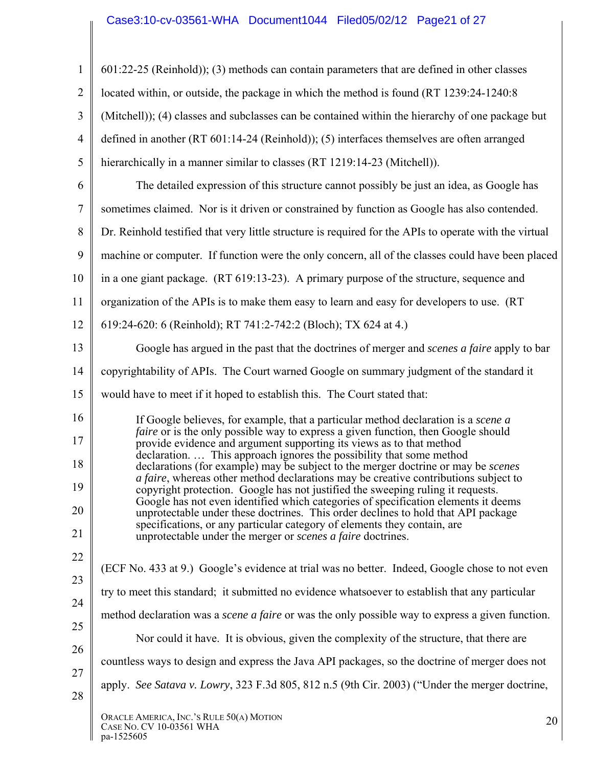## Case3:10-cv-03561-WHA Document1044 Filed05/02/12 Page21 of 27

| $\mathbf{1}$   | $601:22-25$ (Reinhold)); (3) methods can contain parameters that are defined in other classes                                                                           |
|----------------|-------------------------------------------------------------------------------------------------------------------------------------------------------------------------|
| $\overline{2}$ | located within, or outside, the package in which the method is found (RT 1239:24-1240:8)                                                                                |
| 3              | (Mitchell)); (4) classes and subclasses can be contained within the hierarchy of one package but                                                                        |
| $\overline{4}$ | defined in another (RT 601:14-24 (Reinhold)); (5) interfaces themselves are often arranged                                                                              |
| 5              | hierarchically in a manner similar to classes (RT 1219:14-23 (Mitchell)).                                                                                               |
| 6              | The detailed expression of this structure cannot possibly be just an idea, as Google has                                                                                |
| $\tau$         | sometimes claimed. Nor is it driven or constrained by function as Google has also contended.                                                                            |
| 8              | Dr. Reinhold testified that very little structure is required for the APIs to operate with the virtual                                                                  |
| 9              | machine or computer. If function were the only concern, all of the classes could have been placed                                                                       |
| 10             | in a one giant package. (RT 619:13-23). A primary purpose of the structure, sequence and                                                                                |
| 11             | organization of the APIs is to make them easy to learn and easy for developers to use. (RT                                                                              |
| 12             | 619:24-620: 6 (Reinhold); RT 741:2-742:2 (Bloch); TX 624 at 4.)                                                                                                         |
| 13             | Google has argued in the past that the doctrines of merger and <i>scenes a faire</i> apply to bar                                                                       |
| 14             | copyrightability of APIs. The Court warned Google on summary judgment of the standard it                                                                                |
| 15             | would have to meet if it hoped to establish this. The Court stated that:                                                                                                |
| 16             | If Google believes, for example, that a particular method declaration is a <i>scene a</i>                                                                               |
| 17             | faire or is the only possible way to express a given function, then Google should<br>provide evidence and argument supporting its views as to that method               |
| 18             | declaration This approach ignores the possibility that some method<br>declarations (for example) may be subject to the merger doctrine or may be <i>scenes</i>          |
| 19             | a faire, whereas other method declarations may be creative contributions subject to<br>copyright protection. Google has not justified the sweeping ruling it requests.  |
| 20             | Google has not even identified which categories of specification elements it deems<br>unprotectable under these doctrines. This order declines to hold that API package |
| 21             | specifications, or any particular category of elements they contain, are<br>unprotectable under the merger or <i>scenes a faire</i> doctrines.                          |
| 22             | (ECF No. 433 at 9.) Google's evidence at trial was no better. Indeed, Google chose to not even                                                                          |
| 23             | try to meet this standard; it submitted no evidence whatsoever to establish that any particular                                                                         |
| 24             | method declaration was a <i>scene a faire</i> or was the only possible way to express a given function.                                                                 |
| 25             | Nor could it have. It is obvious, given the complexity of the structure, that there are                                                                                 |
| 26             | countless ways to design and express the Java API packages, so the doctrine of merger does not                                                                          |
| 27             | apply. See Satava v. Lowry, 323 F.3d 805, 812 n.5 (9th Cir. 2003) ("Under the merger doctrine,                                                                          |
| 28             |                                                                                                                                                                         |
|                | ORACLE AMERICA, INC.'S RULE 50(A) MOTION<br>20<br>CASE NO. CV 10-03561 WHA<br>pa-1525605                                                                                |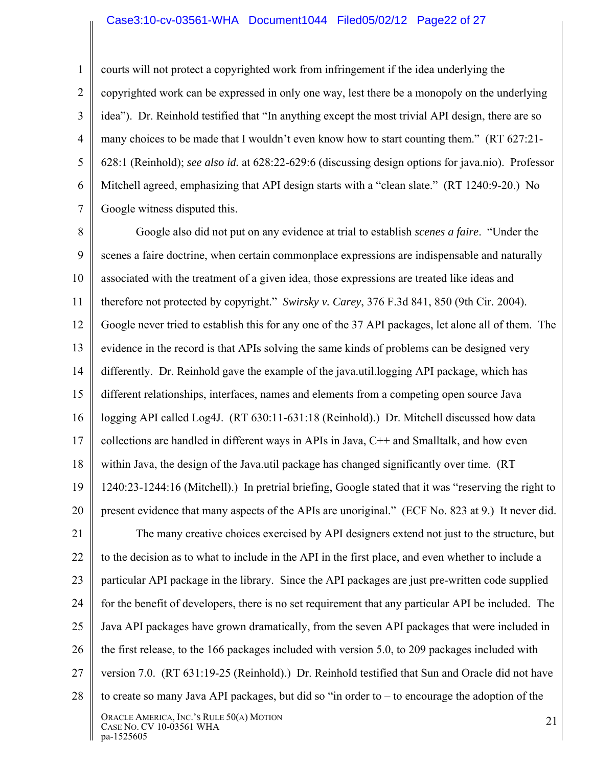#### Case3:10-cv-03561-WHA Document1044 Filed05/02/12 Page22 of 27

1 2 3 4 5 6 7 courts will not protect a copyrighted work from infringement if the idea underlying the copyrighted work can be expressed in only one way, lest there be a monopoly on the underlying idea"). Dr. Reinhold testified that "In anything except the most trivial API design, there are so many choices to be made that I wouldn't even know how to start counting them." (RT 627:21- 628:1 (Reinhold); *see also id.* at 628:22-629:6 (discussing design options for java.nio). Professor Mitchell agreed, emphasizing that API design starts with a "clean slate." (RT 1240:9-20.) No Google witness disputed this.

8 9 10 11 12 13 14 15 16 17 18 19 20 21 22 23 24 25 26 27 28 ORACLE AMERICA, INC.'S RULE 50(A) MOTION ORACLE AMERICA, INC. S RULE 50(A) MOTION<br>CASE NO. CV 10-03561 WHA 21 Google also did not put on any evidence at trial to establish *scenes a faire*. "Under the scenes a faire doctrine, when certain commonplace expressions are indispensable and naturally associated with the treatment of a given idea, those expressions are treated like ideas and therefore not protected by copyright." *Swirsky v. Carey*, 376 F.3d 841, 850 (9th Cir. 2004). Google never tried to establish this for any one of the 37 API packages, let alone all of them. The evidence in the record is that APIs solving the same kinds of problems can be designed very differently. Dr. Reinhold gave the example of the java.util.logging API package, which has different relationships, interfaces, names and elements from a competing open source Java logging API called Log4J. (RT 630:11-631:18 (Reinhold).) Dr. Mitchell discussed how data collections are handled in different ways in APIs in Java, C++ and Smalltalk, and how even within Java, the design of the Java.util package has changed significantly over time. (RT 1240:23-1244:16 (Mitchell).) In pretrial briefing, Google stated that it was "reserving the right to present evidence that many aspects of the APIs are unoriginal." (ECF No. 823 at 9.) It never did. The many creative choices exercised by API designers extend not just to the structure, but to the decision as to what to include in the API in the first place, and even whether to include a particular API package in the library. Since the API packages are just pre-written code supplied for the benefit of developers, there is no set requirement that any particular API be included. The Java API packages have grown dramatically, from the seven API packages that were included in the first release, to the 166 packages included with version 5.0, to 209 packages included with version 7.0. (RT 631:19-25 (Reinhold).) Dr. Reinhold testified that Sun and Oracle did not have to create so many Java API packages, but did so "in order to – to encourage the adoption of the

pa-1525605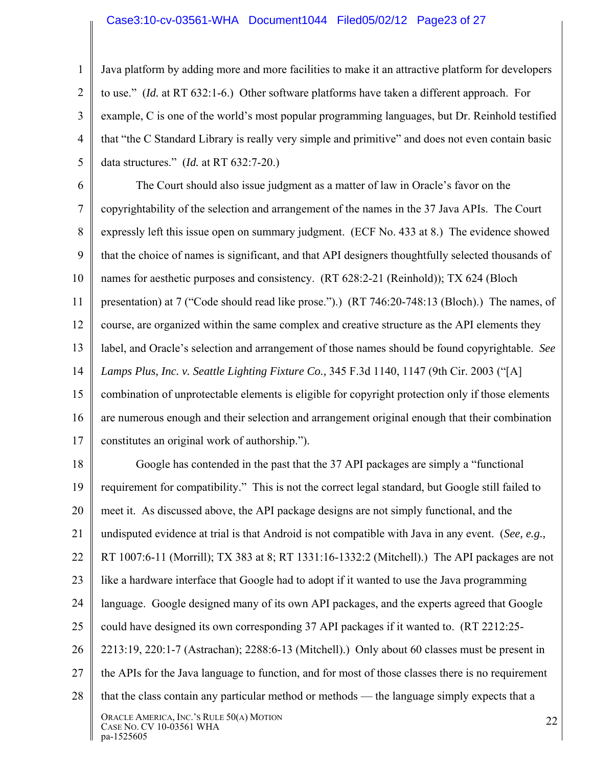### Case3:10-cv-03561-WHA Document1044 Filed05/02/12 Page23 of 27

1 2 3 4 5 Java platform by adding more and more facilities to make it an attractive platform for developers to use." (*Id.* at RT 632:1-6.) Other software platforms have taken a different approach. For example, C is one of the world's most popular programming languages, but Dr. Reinhold testified that "the C Standard Library is really very simple and primitive" and does not even contain basic data structures." (*Id.* at RT 632:7-20.)

6 7 8 9 10 11 12 13 14 15 16 17 The Court should also issue judgment as a matter of law in Oracle's favor on the copyrightability of the selection and arrangement of the names in the 37 Java APIs. The Court expressly left this issue open on summary judgment. (ECF No. 433 at 8.) The evidence showed that the choice of names is significant, and that API designers thoughtfully selected thousands of names for aesthetic purposes and consistency. (RT 628:2-21 (Reinhold)); TX 624 (Bloch presentation) at 7 ("Code should read like prose.").) (RT 746:20-748:13 (Bloch).) The names, of course, are organized within the same complex and creative structure as the API elements they label, and Oracle's selection and arrangement of those names should be found copyrightable. *See Lamps Plus, Inc. v. Seattle Lighting Fixture Co.,* 345 F.3d 1140, 1147 (9th Cir. 2003 ("[A] combination of unprotectable elements is eligible for copyright protection only if those elements are numerous enough and their selection and arrangement original enough that their combination constitutes an original work of authorship.").

18 19 20 21 22 23 24 25 26 27 28 ORACLE AMERICA, INC.'S RULE 50(A) MOTION ORACLE AMERICA, INC. S RULE 50(A) MOTION<br>CASE NO. CV 10-03561 WHA pa-1525605 Google has contended in the past that the 37 API packages are simply a "functional requirement for compatibility." This is not the correct legal standard, but Google still failed to meet it. As discussed above, the API package designs are not simply functional, and the undisputed evidence at trial is that Android is not compatible with Java in any event. (*See, e.g.,*  RT 1007:6-11 (Morrill); TX 383 at 8; RT 1331:16-1332:2 (Mitchell).) The API packages are not like a hardware interface that Google had to adopt if it wanted to use the Java programming language. Google designed many of its own API packages, and the experts agreed that Google could have designed its own corresponding 37 API packages if it wanted to. (RT 2212:25- 2213:19, 220:1-7 (Astrachan); 2288:6-13 (Mitchell).) Only about 60 classes must be present in the APIs for the Java language to function, and for most of those classes there is no requirement that the class contain any particular method or methods — the language simply expects that a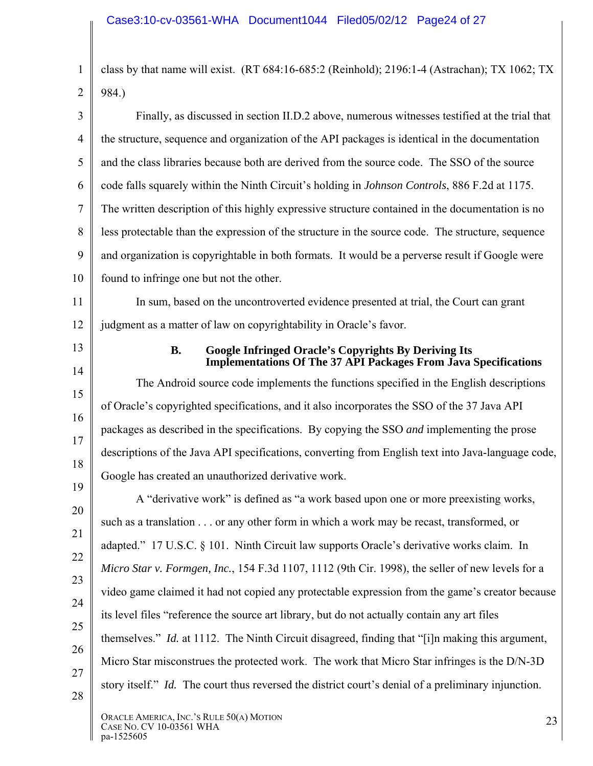1 2 class by that name will exist. (RT 684:16-685:2 (Reinhold); 2196:1-4 (Astrachan); TX 1062; TX 984.)

3 4 5 6 7 8 9 10 Finally, as discussed in section II.D.2 above, numerous witnesses testified at the trial that the structure, sequence and organization of the API packages is identical in the documentation and the class libraries because both are derived from the source code. The SSO of the source code falls squarely within the Ninth Circuit's holding in *Johnson Controls*, 886 F.2d at 1175. The written description of this highly expressive structure contained in the documentation is no less protectable than the expression of the structure in the source code. The structure, sequence and organization is copyrightable in both formats. It would be a perverse result if Google were found to infringe one but not the other.

11 12 In sum, based on the uncontroverted evidence presented at trial, the Court can grant judgment as a matter of law on copyrightability in Oracle's favor.

13

14

15

16

17

18

19

#### **B. Google Infringed Oracle's Copyrights By Deriving Its Implementations Of The 37 API Packages From Java Specifications**

The Android source code implements the functions specified in the English descriptions of Oracle's copyrighted specifications, and it also incorporates the SSO of the 37 Java API packages as described in the specifications. By copying the SSO *and* implementing the prose descriptions of the Java API specifications, converting from English text into Java-language code, Google has created an unauthorized derivative work.

20 21 22 23 24 25 26 27 28 A "derivative work" is defined as "a work based upon one or more preexisting works, such as a translation . . . or any other form in which a work may be recast, transformed, or adapted." 17 U.S.C. § 101. Ninth Circuit law supports Oracle's derivative works claim. In *Micro Star v. Formgen, Inc.*, 154 F.3d 1107, 1112 (9th Cir. 1998), the seller of new levels for a video game claimed it had not copied any protectable expression from the game's creator because its level files "reference the source art library, but do not actually contain any art files themselves." *Id.* at 1112. The Ninth Circuit disagreed, finding that "[i]n making this argument, Micro Star misconstrues the protected work. The work that Micro Star infringes is the D/N-3D story itself." *Id.* The court thus reversed the district court's denial of a preliminary injunction.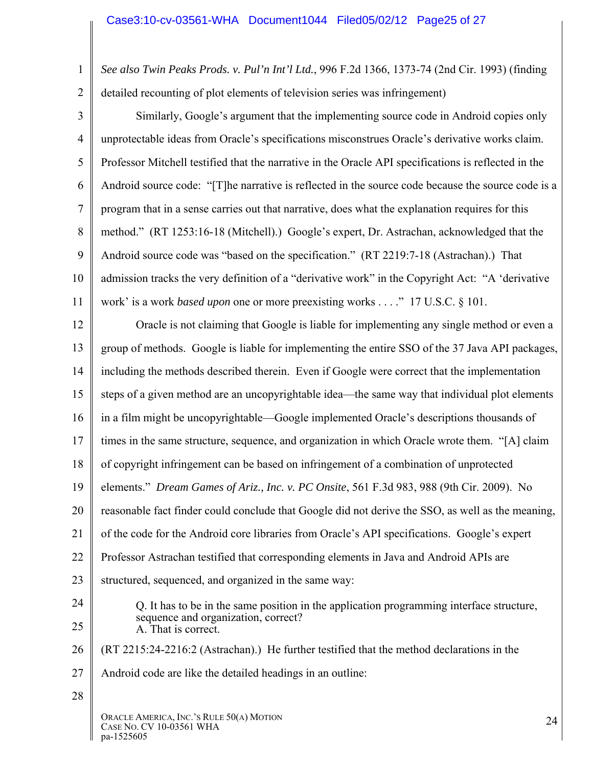1 2 *See also Twin Peaks Prods. v. Pul'n Int'l Ltd.*, 996 F.2d 1366, 1373-74 (2nd Cir. 1993) (finding detailed recounting of plot elements of television series was infringement)

3 4 5 6 7 8 9 10 11 Similarly, Google's argument that the implementing source code in Android copies only unprotectable ideas from Oracle's specifications misconstrues Oracle's derivative works claim. Professor Mitchell testified that the narrative in the Oracle API specifications is reflected in the Android source code: "[T]he narrative is reflected in the source code because the source code is a program that in a sense carries out that narrative, does what the explanation requires for this method." (RT 1253:16-18 (Mitchell).) Google's expert, Dr. Astrachan, acknowledged that the Android source code was "based on the specification." (RT 2219:7-18 (Astrachan).) That admission tracks the very definition of a "derivative work" in the Copyright Act: "A 'derivative work' is a work *based upon* one or more preexisting works . . . ." 17 U.S.C. § 101.

12 13 14 15 16 17 18 19 20 21 22 23 24 25 26 27 28 ORACLE AMERICA, INC.'S RULE 50(A) MOTION ORACLE AMERICA, INC. S RULE 50(A) MOTION<br>CASE NO. CV 10-03561 WHA Oracle is not claiming that Google is liable for implementing any single method or even a group of methods. Google is liable for implementing the entire SSO of the 37 Java API packages, including the methods described therein. Even if Google were correct that the implementation steps of a given method are an uncopyrightable idea—the same way that individual plot elements in a film might be uncopyrightable—Google implemented Oracle's descriptions thousands of times in the same structure, sequence, and organization in which Oracle wrote them. "[A] claim of copyright infringement can be based on infringement of a combination of unprotected elements." *Dream Games of Ariz., Inc. v. PC Onsite*, 561 F.3d 983, 988 (9th Cir. 2009). No reasonable fact finder could conclude that Google did not derive the SSO, as well as the meaning, of the code for the Android core libraries from Oracle's API specifications. Google's expert Professor Astrachan testified that corresponding elements in Java and Android APIs are structured, sequenced, and organized in the same way: Q. It has to be in the same position in the application programming interface structure, sequence and organization, correct? A. That is correct. (RT 2215:24-2216:2 (Astrachan).) He further testified that the method declarations in the Android code are like the detailed headings in an outline:

pa-1525605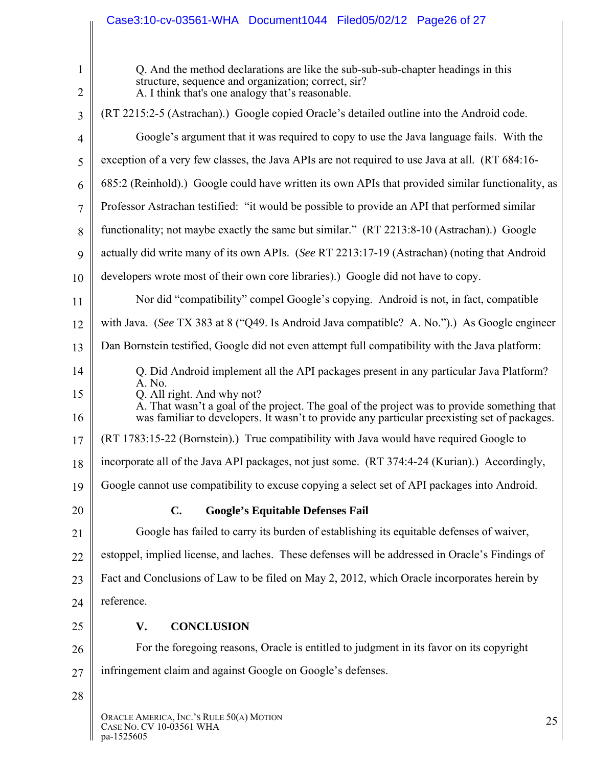|                | Case3:10-cv-03561-WHA Document1044 Filed05/02/12 Page26 of 27                                                                                                                               |  |  |  |  |  |  |
|----------------|---------------------------------------------------------------------------------------------------------------------------------------------------------------------------------------------|--|--|--|--|--|--|
| $\mathbf{1}$   | Q. And the method declarations are like the sub-sub-sub-chapter headings in this                                                                                                            |  |  |  |  |  |  |
| 2              | structure, sequence and organization; correct, sir?<br>A. I think that's one analogy that's reasonable.                                                                                     |  |  |  |  |  |  |
| 3              | (RT 2215:2-5 (Astrachan).) Google copied Oracle's detailed outline into the Android code.                                                                                                   |  |  |  |  |  |  |
| $\overline{4}$ | Google's argument that it was required to copy to use the Java language fails. With the                                                                                                     |  |  |  |  |  |  |
| 5              | exception of a very few classes, the Java APIs are not required to use Java at all. (RT 684:16-                                                                                             |  |  |  |  |  |  |
| 6              | 685:2 (Reinhold).) Google could have written its own APIs that provided similar functionality, as                                                                                           |  |  |  |  |  |  |
| 7              | Professor Astrachan testified: "it would be possible to provide an API that performed similar                                                                                               |  |  |  |  |  |  |
| 8              | functionality; not maybe exactly the same but similar." (RT 2213:8-10 (Astrachan).) Google                                                                                                  |  |  |  |  |  |  |
| 9              | actually did write many of its own APIs. (See RT 2213:17-19 (Astrachan) (noting that Android                                                                                                |  |  |  |  |  |  |
| 10             | developers wrote most of their own core libraries).) Google did not have to copy.                                                                                                           |  |  |  |  |  |  |
| 11             | Nor did "compatibility" compel Google's copying. Android is not, in fact, compatible                                                                                                        |  |  |  |  |  |  |
| 12             | with Java. (See TX 383 at 8 ("Q49. Is Android Java compatible? A. No.").) As Google engineer                                                                                                |  |  |  |  |  |  |
| 13             | Dan Bornstein testified, Google did not even attempt full compatibility with the Java platform:                                                                                             |  |  |  |  |  |  |
| 14             | Q. Did Android implement all the API packages present in any particular Java Platform?                                                                                                      |  |  |  |  |  |  |
| 15             | A. No.<br>Q. All right. And why not?                                                                                                                                                        |  |  |  |  |  |  |
| 16             | A. That wasn't a goal of the project. The goal of the project was to provide something that<br>was familiar to developers. It wasn't to provide any particular preexisting set of packages. |  |  |  |  |  |  |
| 17             | (RT 1783:15-22 (Bornstein).) True compatibility with Java would have required Google to                                                                                                     |  |  |  |  |  |  |
| 18             | incorporate all of the Java API packages, not just some. (RT 374:4-24 (Kurian).) Accordingly,                                                                                               |  |  |  |  |  |  |
| 19             | Google cannot use compatibility to excuse copying a select set of API packages into Android.                                                                                                |  |  |  |  |  |  |
| 20             | <b>Google's Equitable Defenses Fail</b><br>$\mathbf{C}$ .                                                                                                                                   |  |  |  |  |  |  |
| 21             | Google has failed to carry its burden of establishing its equitable defenses of waiver,                                                                                                     |  |  |  |  |  |  |
| 22             | estoppel, implied license, and laches. These defenses will be addressed in Oracle's Findings of                                                                                             |  |  |  |  |  |  |
| 23             | Fact and Conclusions of Law to be filed on May 2, 2012, which Oracle incorporates herein by                                                                                                 |  |  |  |  |  |  |
| 24             | reference.                                                                                                                                                                                  |  |  |  |  |  |  |
| 25             | V.<br><b>CONCLUSION</b>                                                                                                                                                                     |  |  |  |  |  |  |
| 26             | For the foregoing reasons, Oracle is entitled to judgment in its favor on its copyright                                                                                                     |  |  |  |  |  |  |
| 27             | infringement claim and against Google on Google's defenses.                                                                                                                                 |  |  |  |  |  |  |
| 28             |                                                                                                                                                                                             |  |  |  |  |  |  |
|                | ORACLE AMERICA, INC.'S RULE 50(A) MOTION<br>25<br>CASE NO. CV 10-03561 WHA<br>pa-1525605                                                                                                    |  |  |  |  |  |  |